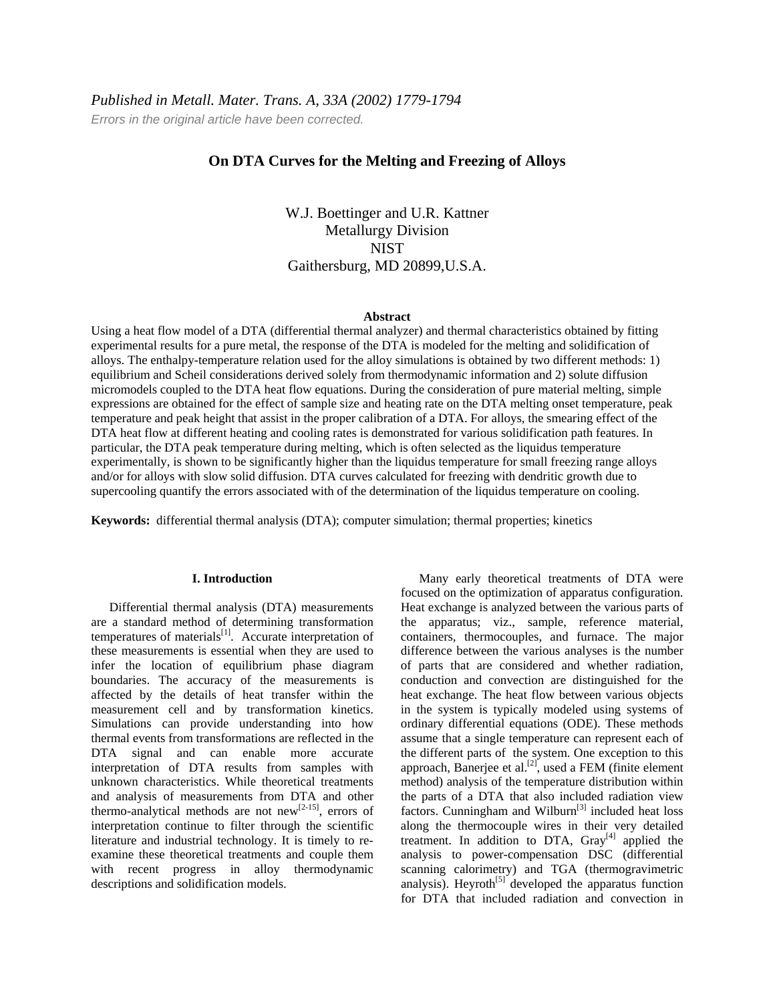*Errors in the original article have been corrected.* 

# **On DTA Curves for the Melting and Freezing of Alloys**

W.J. Boettinger and U.R. Kattner Metallurgy Division **NIST** Gaithersburg, MD 20899,U.S.A.

#### **Abstract**

Using a heat flow model of a DTA (differential thermal analyzer) and thermal characteristics obtained by fitting experimental results for a pure metal, the response of the DTA is modeled for the melting and solidification of alloys. The enthalpy-temperature relation used for the alloy simulations is obtained by two different methods: 1) equilibrium and Scheil considerations derived solely from thermodynamic information and 2) solute diffusion micromodels coupled to the DTA heat flow equations. During the consideration of pure material melting, simple expressions are obtained for the effect of sample size and heating rate on the DTA melting onset temperature, peak temperature and peak height that assist in the proper calibration of a DTA. For alloys, the smearing effect of the DTA heat flow at different heating and cooling rates is demonstrated for various solidification path features. In particular, the DTA peak temperature during melting, which is often selected as the liquidus temperature experimentally, is shown to be significantly higher than the liquidus temperature for small freezing range alloys and/or for alloys with slow solid diffusion. DTA curves calculated for freezing with dendritic growth due to supercooling quantify the errors associated with of the determination of the liquidus temperature on cooling.

**Keywords:** differential thermal analysis (DTA); computer simulation; thermal properties; kinetics

## **I. Introduction**

Differential thermal analysis (DTA) measurements are a standard method of determining transformation temperatures of materials $^{[1]}$ . Accurate interpretation of these measurements is essential when they are used to infer the location of equilibrium phase diagram boundaries. The accuracy of the measurements is affected by the details of heat transfer within the measurement cell and by transformation kinetics. Simulations can provide understanding into how thermal events from transformations are reflected in the DTA signal and can enable more accurate interpretation of DTA results from samples with unknown characteristics. While theoretical treatments and analysis of measurements from DTA and other thermo-analytical methods are not new<sup>[2-15]</sup>, errors of interpretation continue to filter through the scientific literature and industrial technology. It is timely to reexamine these theoretical treatments and couple them with recent progress in alloy thermodynamic descriptions and solidification models.

Many early theoretical treatments of DTA were focused on the optimization of apparatus configuration. Heat exchange is analyzed between the various parts of the apparatus; viz., sample, reference material, containers, thermocouples, and furnace. The major difference between the various analyses is the number of parts that are considered and whether radiation, conduction and convection are distinguished for the heat exchange. The heat flow between various objects in the system is typically modeled using systems of ordinary differential equations (ODE). These methods assume that a single temperature can represent each of the different parts of the system. One exception to this approach, Banerjee et al.<sup>[2]</sup>, used a FEM (finite element) method) analysis of the temperature distribution within the parts of a DTA that also included radiation view factors. Cunningham and Wilburn<sup>[3]</sup> included heat loss along the thermocouple wires in their very detailed treatment. In addition to DTA,  $Gray^{[4]}$  applied the analysis to power-compensation DSC (differential scanning calorimetry) and TGA (thermogravimetric analysis). Heyroth $[5]$  developed the apparatus function for DTA that included radiation and convection in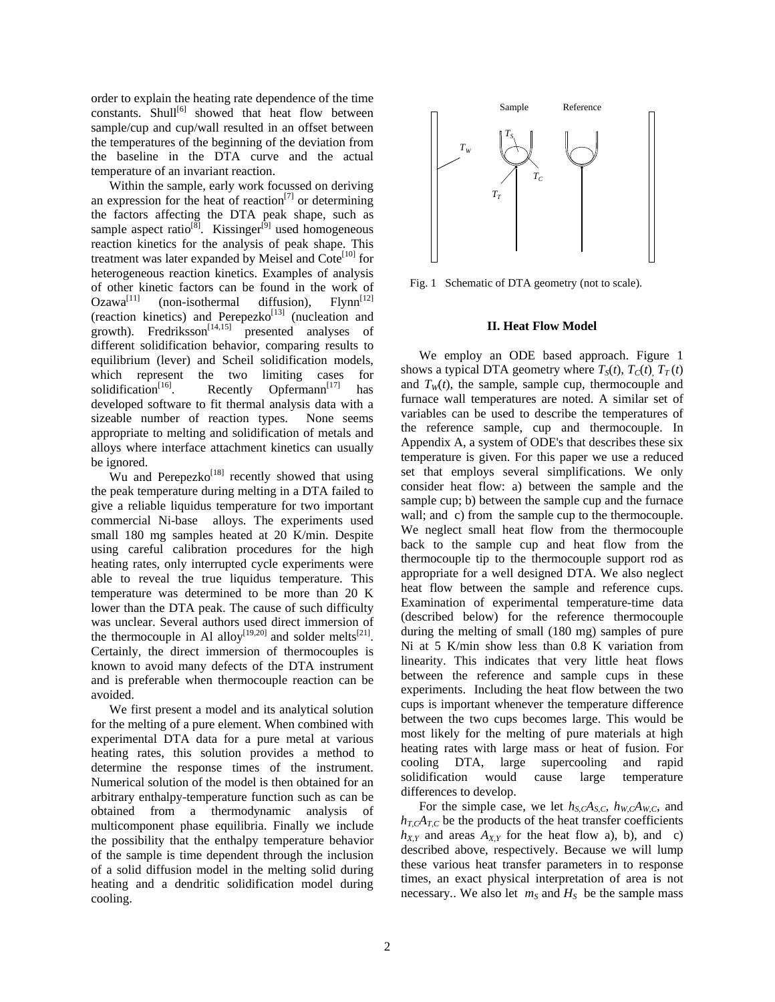order to explain the heating rate dependence of the time  $constants.$  Shull<sup>[6]</sup> showed that heat flow between sample/cup and cup/wall resulted in an offset between the temperatures of the beginning of the deviation from the baseline in the DTA curve and the actual temperature of an invariant reaction.

Within the sample, early work focussed on deriving an expression for the heat of reaction<sup>[7]</sup> or determining the factors affecting the DTA peak shape, such as sample aspect ratio<sup>[8]</sup>. Kissinger<sup>[9]</sup> used homogeneous reaction kinetics for the analysis of peak shape. This treatment was later expanded by Meisel and Cote<sup>[10]</sup> for heterogeneous reaction kinetics. Examples of analysis of other kinetic factors can be found in the work of  $Ozawa^{[11]}$  (non-isothermal diffusion). Flynn<sup>[12]</sup>  $(non-isothermal$  diffusion), Flynn<sup>[12]</sup> (reaction kinetics) and  $Perepezko<sup>[13]</sup>$  (nucleation and growth). Fredriksson<sup>[14,15]</sup> presented analyses of different solidification behavior, comparing results to equilibrium (lever) and Scheil solidification models, which represent the two limiting cases for solidification<sup>[16]</sup>. Recently Opfermann<sup>[17]</sup> has Recently Opfermann<sup>[17]</sup> developed software to fit thermal analysis data with a sizeable number of reaction types. None seems appropriate to melting and solidification of metals and alloys where interface attachment kinetics can usually be ignored.

Wu and Perepezko<sup>[18]</sup> recently showed that using the peak temperature during melting in a DTA failed to give a reliable liquidus temperature for two important commercial Ni-base alloys. The experiments used small 180 mg samples heated at 20 K/min. Despite using careful calibration procedures for the high heating rates, only interrupted cycle experiments were able to reveal the true liquidus temperature. This temperature was determined to be more than 20 K lower than the DTA peak. The cause of such difficulty was unclear. Several authors used direct immersion of the thermocouple in Al alloy<sup>[19,20]</sup> and solder melts<sup>[21]</sup>. Certainly, the direct immersion of thermocouples is known to avoid many defects of the DTA instrument and is preferable when thermocouple reaction can be avoided.

We first present a model and its analytical solution for the melting of a pure element. When combined with experimental DTA data for a pure metal at various heating rates, this solution provides a method to determine the response times of the instrument. Numerical solution of the model is then obtained for an arbitrary enthalpy-temperature function such as can be obtained from a thermodynamic analysis of multicomponent phase equilibria. Finally we include the possibility that the enthalpy temperature behavior of the sample is time dependent through the inclusion of a solid diffusion model in the melting solid during heating and a dendritic solidification model during cooling.



Fig. 1 Schematic of DTA geometry (not to scale).

### **II. Heat Flow Model**

We employ an ODE based approach. Figure 1 shows a typical DTA geometry where  $T_S(t)$ ,  $T_C(t)$ ,  $T_T(t)$ and  $T_w(t)$ , the sample, sample cup, thermocouple and furnace wall temperatures are noted. A similar set of variables can be used to describe the temperatures of the reference sample, cup and thermocouple. In Appendix A, a system of ODE's that describes these six temperature is given. For this paper we use a reduced set that employs several simplifications. We only consider heat flow: a) between the sample and the sample cup; b) between the sample cup and the furnace wall; and c) from the sample cup to the thermocouple. We neglect small heat flow from the thermocouple back to the sample cup and heat flow from the thermocouple tip to the thermocouple support rod as appropriate for a well designed DTA. We also neglect heat flow between the sample and reference cups. Examination of experimental temperature-time data (described below) for the reference thermocouple during the melting of small (180 mg) samples of pure Ni at 5 K/min show less than 0.8 K variation from linearity. This indicates that very little heat flows between the reference and sample cups in these experiments. Including the heat flow between the two cups is important whenever the temperature difference between the two cups becomes large. This would be most likely for the melting of pure materials at high heating rates with large mass or heat of fusion. For cooling DTA, large supercooling and rapid solidification would cause large temperature differences to develop.

For the simple case, we let  $h_{S,C}A_{S,C}$ ,  $h_{W,C}A_{W,C}$ , and  $h_{T,C}A_{T,C}$  be the products of the heat transfer coefficients  $h_{X,Y}$  and areas  $A_{X,Y}$  for the heat flow a), b), and c) described above, respectively. Because we will lump these various heat transfer parameters in to response times, an exact physical interpretation of area is not necessary.. We also let  $m<sub>S</sub>$  and  $H<sub>S</sub>$  be the sample mass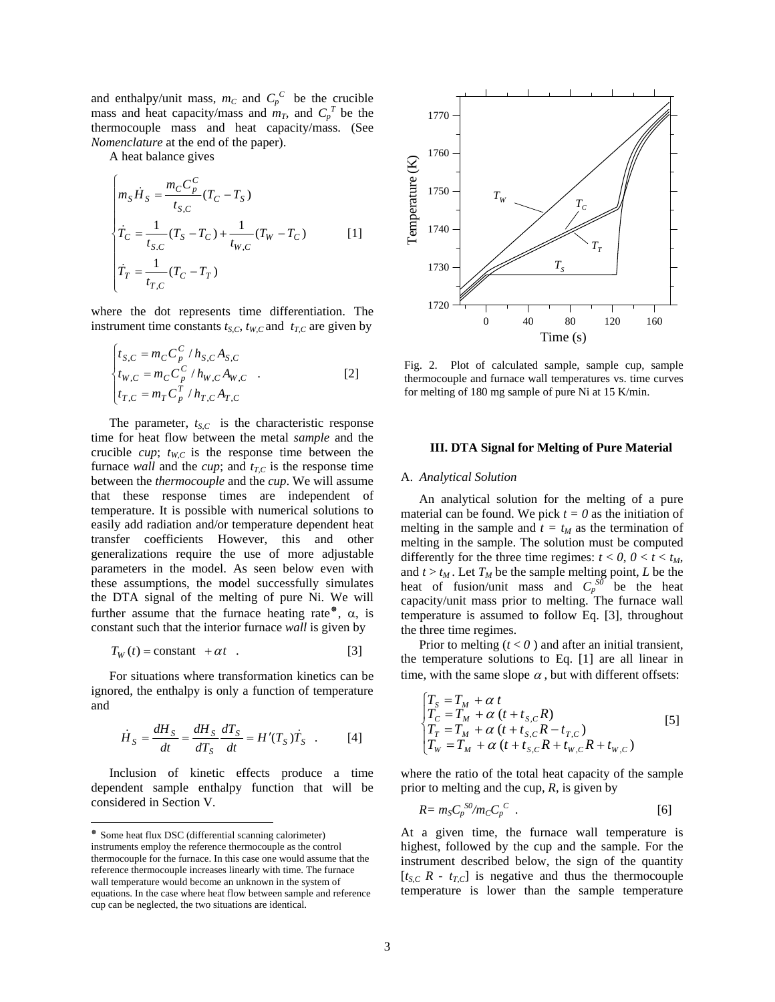and enthalpy/unit mass,  $m_C$  and  $C_p^C$  be the crucible mass and heat capacity/mass and  $m<sub>T</sub>$ , and  $C_p^T$  be the thermocouple mass and heat capacity/mass. (See *Nomenclature* at the end of the paper).

A heat balance gives

$$
\begin{cases}\nm_S \dot{H}_S = \frac{m_C C_p^C}{t_{S,C}} (T_C - T_S) \\
\dot{T}_C = \frac{1}{t_{S,C}} (T_S - T_C) + \frac{1}{t_{W,C}} (T_W - T_C) \\
\dot{T}_T = \frac{1}{t_{T,C}} (T_C - T_T)\n\end{cases} [1]
$$

where the dot represents time differentiation. The instrument time constants  $t_{S,C}$ ,  $t_{W,C}$  and  $t_{T,C}$  are given by

$$
\begin{cases}\nt_{S,C} = m_C C_p^C / h_{S,C} A_{S,C} \\
t_{W,C} = m_C C_p^C / h_{W,C} A_{W,C} \\
t_{T,C} = m_T C_p^T / h_{T,C} A_{T,C}\n\end{cases}
$$
\n[2]

The parameter,  $t_{S,C}$  is the characteristic response time for heat flow between the metal *sample* and the crucible  $cup$ ;  $t_{W,C}$  is the response time between the furnace *wall* and the *cup*; and  $t_{TC}$  is the response time between the *thermocouple* and the *cup*. We will assume that these response times are independent of temperature. It is possible with numerical solutions to easily add radiation and/or temperature dependent heat transfer coefficients However, this and other generalizations require the use of more adjustable parameters in the model. As seen below even with these assumptions, the model successfully simulates the DTA signal of the melting of pure Ni. We will further assume that the furnace heating rate<sup> $\text{*}$ </sup>,  $\alpha$ , is constant such that the interior furnace *wall* is given by

$$
T_W(t) = \text{constant} + \alpha t \quad . \tag{3}
$$

For situations where transformation kinetics can be ignored, the enthalpy is only a function of temperature and

$$
\dot{H}_S = \frac{dH_S}{dt} = \frac{dH_S}{dT_S} \frac{dT_S}{dt} = H'(T_S)\dot{T}_S \quad . \tag{4}
$$

Inclusion of kinetic effects produce a time dependent sample enthalpy function that will be considered in Section V.

 $\overline{a}$ 



Fig. 2. Plot of calculated sample, sample cup, sample thermocouple and furnace wall temperatures vs. time curves for melting of 180 mg sample of pure Ni at 15 K/min.

## **III. DTA Signal for Melting of Pure Material**

#### A. *Analytical Solution*

An analytical solution for the melting of a pure material can be found. We pick  $t = 0$  as the initiation of melting in the sample and  $t = t_M$  as the termination of melting in the sample. The solution must be computed differently for the three time regimes:  $t < 0$ ,  $0 < t < t_M$ , and  $t > t_M$ . Let  $T_M$  be the sample melting point, *L* be the heat of fusion/unit mass and  $C_p^{S_0}$  be the heat capacity/unit mass prior to melting. The furnace wall temperature is assumed to follow Eq. [3], throughout the three time regimes.

Prior to melting  $(t < 0)$  and after an initial transient, the temperature solutions to Eq. [1] are all linear in time, with the same slope  $\alpha$ , but with different offsets:

$$
\begin{cases}\nT_{S} = T_{M} + \alpha t \\
T_{C} = T_{M} + \alpha (t + t_{S,C}R) \\
T_{T} = T_{M} + \alpha (t + t_{S,C}R - t_{T,C}) \\
T_{W} = T_{M} + \alpha (t + t_{S,C}R + t_{W,C}R + t_{W,C})\n\end{cases}
$$
\n[5]

where the ratio of the total heat capacity of the sample prior to melting and the cup, *R*, is given by

$$
R = m_S C_p^{S0} / m_C C_p^C \tag{6}
$$

At a given time, the furnace wall temperature is highest, followed by the cup and the sample. For the instrument described below, the sign of the quantity  $[t<sub>S,C</sub> R - t<sub>T,C</sub>]$  is negative and thus the thermocouple temperature is lower than the sample temperature

<span id="page-2-0"></span><sup>&</sup>lt;sup>\*</sup> Some heat flux DSC (differential scanning calorimeter) instruments employ the reference thermocouple as the control thermocouple for the furnace. In this case one would assume that the reference thermocouple increases linearly with time. The furnace wall temperature would become an unknown in the system of equations. In the case where heat flow between sample and reference cup can be neglected, the two situations are identical.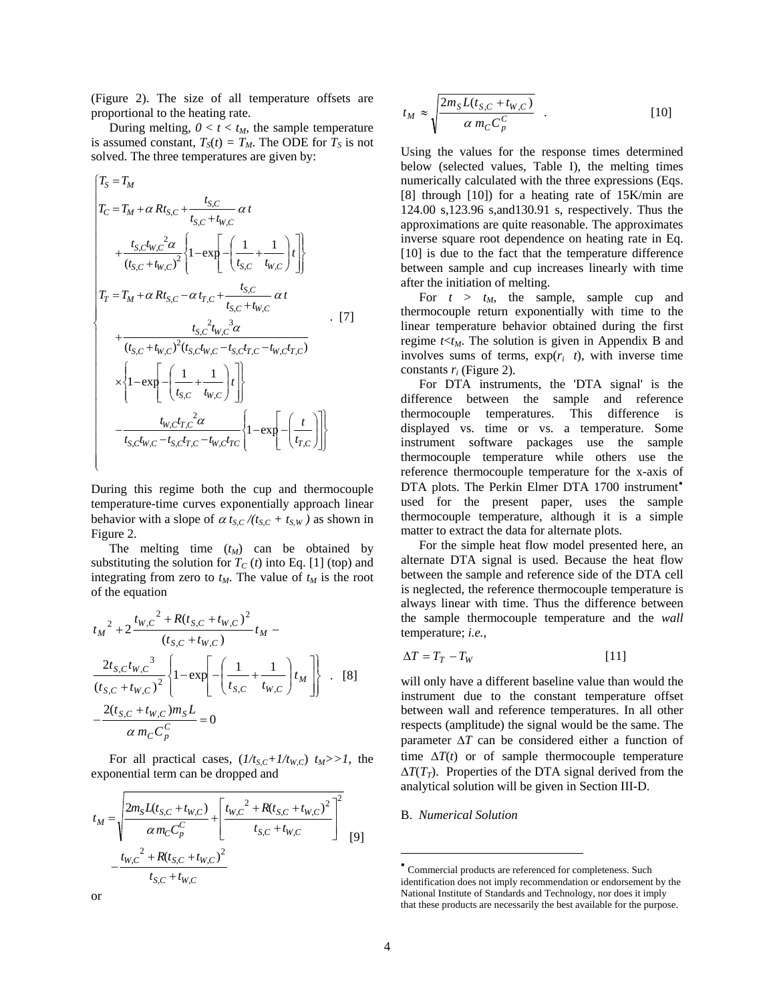(Figure 2). The size of all temperature offsets are proportional to the heating rate.

During melting,  $0 < t < t_M$ , the sample temperature is assumed constant,  $T_S(t) = T_M$ . The ODE for  $T_S$  is not solved. The three temperatures are given by:

⎪ ⎪ ⎪ ⎪ ⎪ ⎪ ⎪ ⎪ ⎪ ⎪ ⎪ ⎪ ⎩ ⎪ ⎪ ⎪ ⎪ ⎪ ⎪ ⎪ ⎪ ⎪ ⎪ ⎪ ⎪ ⎨ ⎧ ⎪⎭ ⎪ ⎬ ⎫ ⎪⎩ ⎪ ⎨ ⎧ ⎥ ⎥ ⎦ ⎤ ⎢ ⎢ ⎣ ⎡ ⎟ ⎟ ⎠ ⎞ ⎜ ⎜ ⎝ ⎛ −− −− <sup>−</sup> ⎪⎭ ⎪ ⎬ ⎫ ⎪⎩ ⎪ ⎨ ⎧ ⎥ ⎥ ⎦ ⎤ ⎢ ⎢ ⎣ ⎡ ⎟ ⎟ ⎠ ⎞ ⎜ ⎜ ⎝ ⎛ +−−× <sup>+</sup> −− <sup>+</sup> + +−+= ⎪⎭ ⎪ ⎬ ⎫ ⎪⎩ ⎪ ⎨ ⎧ ⎥ ⎥ ⎦ ⎤ ⎢ ⎢ ⎣ ⎡ ⎟ ⎟ ⎠ ⎞ ⎜ ⎜ ⎝ ⎛ +−− + + + ++= = *TCCWCTCSCWCS CT CTCW CWCS CTCWCTCSCWCSCWCS CWCS CWCS CS MT CTCS CWCS CWCS CWCS CWCS CS MC CS MS t t tttttt tt t tt tttttttt tt t tt t ttRTT t tt tt tt t tt t tRTT TT* ,,,,, , 2 ,, ,, ,,,,,, 2 ,, 3 , 2 , ,, , ,, ,, <sup>2</sup> ,, 2 ,, ,, , , exp1 <sup>11</sup> exp1 ()( ) <sup>11</sup> exp1 )( α α αα α α α α . [7]

During this regime both the cup and thermocouple temperature-time curves exponentially approach linear behavior with a slope of  $\alpha t_{S,C}$  /( $t_{S,C}$  +  $t_{S,W}$ ) as shown in Figure 2.

The melting time  $(t_M)$  can be obtained by substituting the solution for  $T_c(t)$  into Eq. [1] (top) and integrating from zero to  $t_M$ . The value of  $t_M$  is the root of the equation

$$
t_M^2 + 2 \frac{t_{W,C}^2 + R(t_{S,C} + t_{W,C})^2}{(t_{S,C} + t_{W,C})} t_M -
$$
  

$$
\frac{2t_{S,C}t_{W,C}^3}{(t_{S,C} + t_{W,C})^2} \left\{ 1 - \exp\left[ -\left( \frac{1}{t_{S,C}} + \frac{1}{t_{W,C}} \right) t_M \right] \right\} .
$$
 [8]  

$$
-\frac{2(t_{S,C} + t_{W,C})m_S L}{\alpha m_C C_P^C} = 0
$$

For all practical cases,  $\left(\frac{1}{t_{S,C} + \frac{1}{t_{W,C}}}\right)$   $t_M>>1$ , the exponential term can be dropped and

<span id="page-3-0"></span>
$$
t_M = \sqrt{\frac{2m_S L(t_{S,C} + t_{W,C})}{\alpha m_C C_p^C} + \left[\frac{t_{W,C}^2 + R(t_{S,C} + t_{W,C})^2}{t_{S,C} + t_{W,C}}\right]^2}
$$
  
-  $\frac{t_{W,C}^2 + R(t_{S,C} + t_{W,C})^2}{t_{S,C} + t_{W,C}}$  [9]

$$
t_M \approx \sqrt{\frac{2m_S L(t_{S,C} + t_{W,C})}{\alpha m_C C_p^C}} \quad . \tag{10}
$$

Using the values for the response times determined below (selected values, Table I), the melting times numerically calculated with the three expressions (Eqs. [8] through [10]) for a heating rate of 15K/min are 124.00 s,123.96 s,and130.91 s, respectively. Thus the approximations are quite reasonable. The approximates inverse square root dependence on heating rate in Eq. [10] is due to the fact that the temperature difference between sample and cup increases linearly with time after the initiation of melting.

For  $t > t_M$ , the sample, sample cup and thermocouple return exponentially with time to the linear temperature behavior obtained during the first regime  $t < t_M$ . The solution is given in Appendix B and involves sums of terms,  $exp(r_i \ t)$ , with inverse time constants *ri* (Figure 2).

For DTA instruments, the 'DTA signal' is the difference between the sample and reference thermocouple temperatures. This difference is displayed vs. time or vs. a temperature. Some instrument software packages use the sample thermocouple temperature while others use the reference thermocouple temperature for the x-axis of DTA plots. The Perkin Elmer DTA 1700 instrument<sup>\*</sup> used for the present paper, uses the sample thermocouple temperature, although it is a simple matter to extract the data for alternate plots.

For the simple heat flow model presented here, an alternate DTA signal is used. Because the heat flow between the sample and reference side of the DTA cell is neglected, the reference thermocouple temperature is always linear with time. Thus the difference between the sample thermocouple temperature and the *wall* temperature; *i.e.*,

$$
\Delta T = T_T - T_W \tag{11}
$$

will only have a different baseline value than would the instrument due to the constant temperature offset between wall and reference temperatures. In all other respects (amplitude) the signal would be the same. The parameter  $\Delta T$  can be considered either a function of time  $\Delta T(t)$  or of sample thermocouple temperature  $\Delta T(T_T)$ . Properties of the DTA signal derived from the analytical solution will be given in Section III-D.

## B. *Numerical Solution*

 $\overline{a}$ 

<sup>•</sup> Commercial products are referenced for completeness. Such identification does not imply recommendation or endorsement by the National Institute of Standards and Technology, nor does it imply that these products are necessarily the best available for the purpose.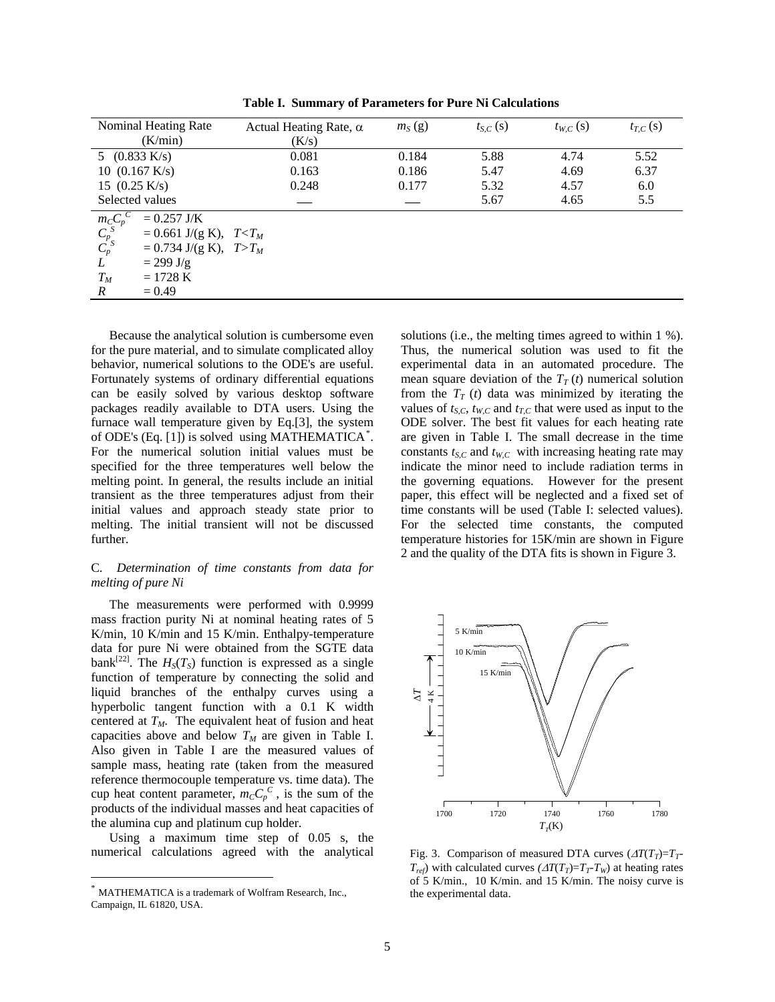| Nominal Heating Rate                      | Actual Heating Rate, $\alpha$ | $m_S(g)$ | $t_{S,C}(s)$ | $t_{W,C}(s)$ | $t_{T,C}(s)$ |
|-------------------------------------------|-------------------------------|----------|--------------|--------------|--------------|
| (K/min)                                   | (K/s)                         |          |              |              |              |
| 5 $(0.833 \text{ K/s})$                   | 0.081                         | 0.184    | 5.88         | 4.74         | 5.52         |
| 10 $(0.167 \text{ K/s})$                  | 0.163                         | 0.186    | 5.47         | 4.69         | 6.37         |
| 15 $(0.25 \text{ K/s})$                   | 0.248                         | 0.177    | 5.32         | 4.57         | 6.0          |
| Selected values                           |                               |          | 5.67         | 4.65         | 5.5          |
| $\frac{m_{C}C_p}{C_p^S}$<br>$= 0.257$ J/K |                               |          |              |              |              |
| $= 0.661$ J/(g K), $T < T_M$              |                               |          |              |              |              |
| $= 0.734$ J/(g K), $T>T_M$                |                               |          |              |              |              |
| L<br>$= 299$ J/g                          |                               |          |              |              |              |
| $T_M$<br>$= 1728 \text{ K}$               |                               |          |              |              |              |
| $= 0.49$<br>$\boldsymbol{R}$              |                               |          |              |              |              |

**Table I. Summary of Parameters for Pure Ni Calculations** 

Because the analytical solution is cumbersome even for the pure material, and to simulate complicated alloy behavior, numerical solutions to the ODE's are useful. Fortunately systems of ordinary differential equations can be easily solved by various desktop software packages readily available to DTA users. Using the furnace wall temperature given by Eq.[3], the system of ODE's (Eq. [1]) is solved using MATHEMATICA*[\\*](#page-4-0)* . For the numerical solution initial values must be specified for the three temperatures well below the melting point. In general, the results include an initial transient as the three temperatures adjust from their initial values and approach steady state prior to melting. The initial transient will not be discussed further.

## C. *Determination of time constants from data for melting of pure Ni*

The measurements were performed with 0.9999 mass fraction purity Ni at nominal heating rates of 5 K/min, 10 K/min and 15 K/min. Enthalpy-temperature data for pure Ni were obtained from the SGTE data bank<sup>[22]</sup>. The  $H<sub>S</sub>(T<sub>S</sub>)$  function is expressed as a single function of temperature by connecting the solid and liquid branches of the enthalpy curves using a hyperbolic tangent function with a 0.1 K width centered at  $T_M$ . The equivalent heat of fusion and heat capacities above and below  $T_M$  are given in Table I. Also given in Table I are the measured values of sample mass, heating rate (taken from the measured reference thermocouple temperature vs. time data). The cup heat content parameter,  $m_{C}C_{p}^{C}$ , is the sum of the products of the individual masses and heat capacities of the alumina cup and platinum cup holder.

Using a maximum time step of 0.05 s, the numerical calculations agreed with the analytical

 $\overline{a}$ 

solutions (i.e., the melting times agreed to within 1 %). Thus, the numerical solution was used to fit the experimental data in an automated procedure. The mean square deviation of the  $T_T(t)$  numerical solution from the  $T_T$  (*t*) data was minimized by iterating the values of  $t_{S,C}$ ,  $t_{W,C}$  and  $t_{T,C}$  that were used as input to the ODE solver. The best fit values for each heating rate are given in Table I. The small decrease in the time constants  $t_{S,C}$  and  $t_{W,C}$  with increasing heating rate may indicate the minor need to include radiation terms in the governing equations. However for the present paper, this effect will be neglected and a fixed set of time constants will be used (Table I: selected values). For the selected time constants, the computed temperature histories for 15K/min are shown in Figure 2 and the quality of the DTA fits is shown in Figure 3.



Fig. 3. Comparison of measured DTA curves  $(\Delta T(T_T) = T_T$ - $T_{ref}$ ) with calculated curves  $\left(\Delta T(T_T) = T_T - T_W\right)$  at heating rates of 5 K/min., 10 K/min. and 15 K/min. The noisy curve is the experimental data.

<span id="page-4-0"></span>MATHEMATICA is a trademark of Wolfram Research, Inc., Campaign, IL 61820, USA.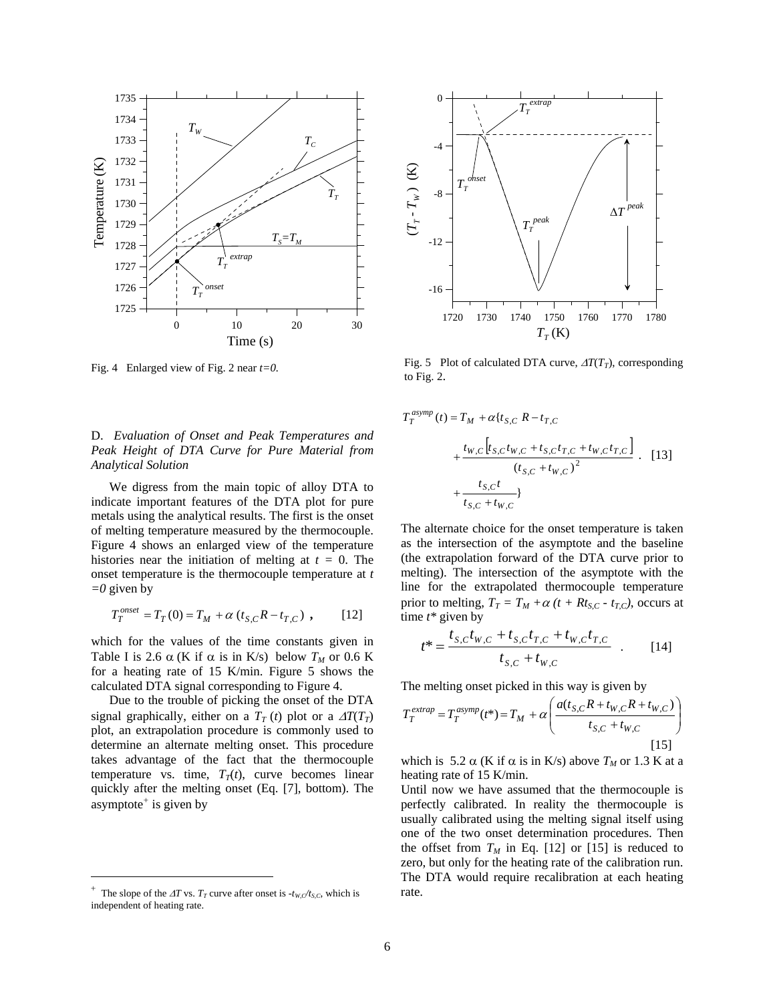

Fig. 4 Enlarged view of Fig. 2 near *t=0.* 

## D. *Evaluation of Onset and Peak Temperatures and Peak Height of DTA Curve for Pure Material from Analytical Solution*

We digress from the main topic of alloy DTA to indicate important features of the DTA plot for pure metals using the analytical results. The first is the onset of melting temperature measured by the thermocouple. Figure 4 shows an enlarged view of the temperature histories near the initiation of melting at *t =* 0. The onset temperature is the thermocouple temperature at *t =0* given by

$$
T_T^{onset} = T_T(0) = T_M + \alpha (t_{S,C} R - t_{T,C}), \qquad [12]
$$

which for the values of the time constants given in Table I is 2.6  $\alpha$  (K if  $\alpha$  is in K/s) below  $T_M$  or 0.6 K for a heating rate of 15 K/min. Figure 5 shows the calculated DTA signal corresponding to Figure 4.

Due to the trouble of picking the onset of the DTA signal graphically, either on a  $T_T(t)$  plot or a  $\Delta T(T_T)$ plot, an extrapolation procedure is commonly used to determine an alternate melting onset. This procedure takes advantage of the fact that the thermocouple temperature vs. time,  $T_T(t)$ , curve becomes linear quickly after the melting onset (Eq. [7], bottom). The asymptote<sup>[+](#page-5-0)</sup> is given by

 $\overline{a}$ 



Fig. 5 Plot of calculated DTA curve,  $\Delta T(T_T)$ , corresponding to Fig. 2.

$$
T_T^{asymp}(t) = T_M + \alpha \{ t_{S,C} \ R - t_{T,C} + \frac{t_{W,C} [t_{S,C} t_{W,C} + t_{S,C} t_{T,C} + t_{W,C} t_{T,C}] }{(t_{S,C} + t_{W,C})^2} \ . \tag{13} + \frac{t_{S,C} t}{t_{S,C} + t_{W,C}}
$$

The alternate choice for the onset temperature is taken as the intersection of the asymptote and the baseline (the extrapolation forward of the DTA curve prior to melting). The intersection of the asymptote with the line for the extrapolated thermocouple temperature prior to melting,  $T_T = T_M + \alpha (t + Rt_{S,C} - t_{T,C})$ , occurs at time *t\** given by

$$
t^* = \frac{t_{S,C}t_{W,C} + t_{S,C}t_{T,C} + t_{W,C}t_{T,C}}{t_{S,C} + t_{W,C}}
$$
 (14)

The melting onset picked in this way is given by

$$
T_T^{extrap} = T_T^{asymp}(t^*) = T_M + \alpha \left( \frac{a(t_{S,C}R + t_{W,C}R + t_{W,C})}{t_{S,C} + t_{W,C}} \right)
$$
\n[15]

which is 5.2  $\alpha$  (K if  $\alpha$  is in K/s) above  $T_M$  or 1.3 K at a heating rate of 15 K/min.

Until now we have assumed that the thermocouple is perfectly calibrated. In reality the thermocouple is usually calibrated using the melting signal itself using one of the two onset determination procedures. Then the offset from  $T_M$  in Eq. [12] or [15] is reduced to zero, but only for the heating rate of the calibration run. The DTA would require recalibration at each heating rate.

<span id="page-5-0"></span>The slope of the  $\Delta T$  vs.  $T_T$  curve after onset is  $-t_{W,C}/t_{S,C}$ , which is independent of heating rate.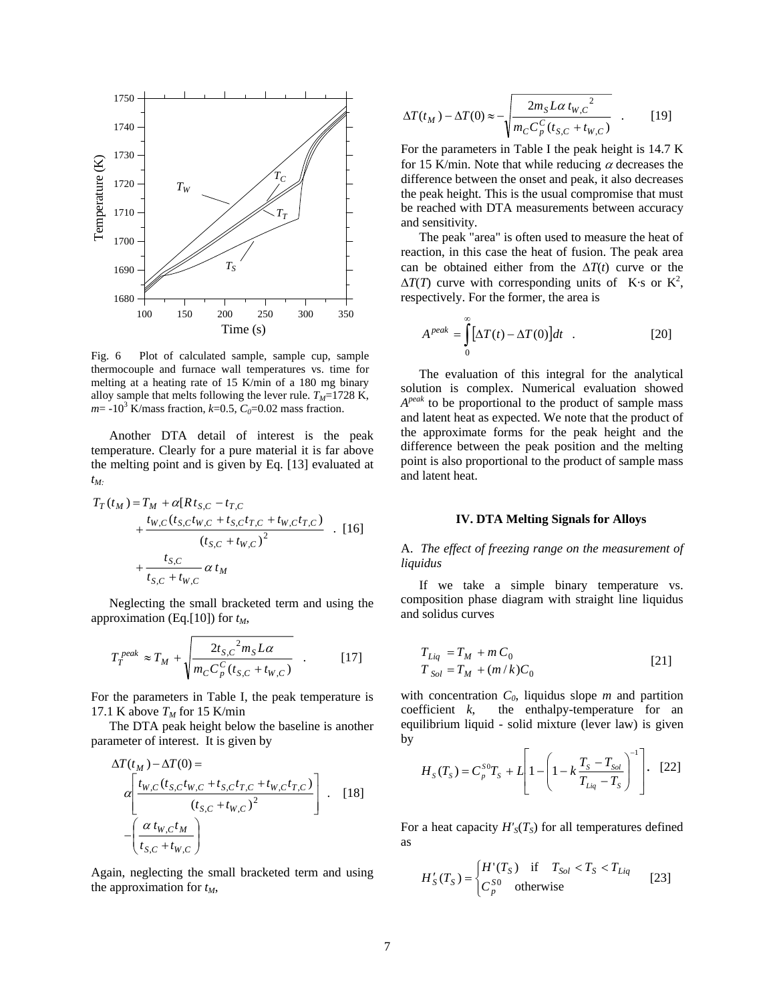

Fig. 6 Plot of calculated sample, sample cup, sample thermocouple and furnace wall temperatures vs. time for melting at a heating rate of 15 K/min of a 180 mg binary alloy sample that melts following the lever rule.  $T_M$ =1728 K,  $m = -10^3$  K/mass fraction,  $k=0.5$ ,  $C_0=0.02$  mass fraction.

Another DTA detail of interest is the peak temperature. Clearly for a pure material it is far above the melting point and is given by Eq. [13] evaluated at *tM:*

$$
T_T(t_M) = T_M + \alpha [Rt_{S,C} - t_{T,C} + \frac{t_{W,C}(t_{S,C}t_{W,C} + t_{S,C}t_{T,C} + t_{W,C}t_{T,C}) + \frac{t_{S,C}}{(t_{S,C} + t_{W,C})^2} \quad . \quad [16]
$$
  
+ 
$$
\frac{t_{S,C}}{t_{S,C} + t_{W,C}} \alpha t_M
$$

Neglecting the small bracketed term and using the approximation (Eq.[10]) for  $t_M$ ,

$$
T_T^{peak} \approx T_M + \sqrt{\frac{2t_{S,C}^2 m_S L \alpha}{m_C C_p^C (t_{S,C} + t_{W,C})}} \quad . \tag{17}
$$

For the parameters in Table I, the peak temperature is 17.1 K above  $T_M$  for 15 K/min

The DTA peak height below the baseline is another parameter of interest. It is given by

$$
\Delta T(t_M) - \Delta T(0) =
$$
\n
$$
\alpha \left[ \frac{t_{W,C} (t_{S,C} t_{W,C} + t_{S,C} t_{T,C} + t_{W,C} t_{T,C})}{(t_{S,C} + t_{W,C})^2} \right].
$$
\n[18]\n
$$
- \left( \frac{\alpha t_{W,C} t_M}{t_{S,C} + t_{W,C}} \right)
$$

Again, neglecting the small bracketed term and using the approximation for  $t_M$ ,

$$
\Delta T(t_M) - \Delta T(0) \approx -\sqrt{\frac{2m_S L \alpha t_{W,C}^2}{m_C C_p^C (t_{S,C} + t_{W,C})}} \quad . \tag{19}
$$

For the parameters in Table I the peak height is 14.7 K for 15 K/min. Note that while reducing  $\alpha$  decreases the difference between the onset and peak, it also decreases the peak height. This is the usual compromise that must be reached with DTA measurements between accuracy and sensitivity.

The peak "area" is often used to measure the heat of reaction, in this case the heat of fusion. The peak area can be obtained either from the  $\Delta T(t)$  curve or the  $\Delta T(T)$  curve with corresponding units of K·s or K<sup>2</sup>, respectively. For the former, the area is

$$
A^{peak} = \int_{0}^{\infty} [\Delta T(t) - \Delta T(0)] dt
$$
 (20)

The evaluation of this integral for the analytical solution is complex. Numerical evaluation showed *A<sup>peak</sup>* to be proportional to the product of sample mass and latent heat as expected. We note that the product of the approximate forms for the peak height and the difference between the peak position and the melting point is also proportional to the product of sample mass and latent heat.

# **IV. DTA Melting Signals for Alloys**

A. *The effect of freezing range on the measurement of liquidus*

If we take a simple binary temperature vs. composition phase diagram with straight line liquidus and solidus curves

$$
T_{Liq} = T_M + m C_0
$$
  
\n
$$
T_{Sol} = T_M + (m/k)C_0
$$
\n[21]

with concentration  $C_0$ , liquidus slope  $m$  and partition coefficient *k*, the enthalpy-temperature for an equilibrium liquid - solid mixture (lever law) is given by

$$
H_{S}(T_{S}) = C_{p}^{SO}T_{S} + L \left[1 - \left(1 - k \frac{T_{S} - T_{Sol}}{T_{Liq} - T_{S}}\right)^{-1}\right].
$$
 [22]

For a heat capacity  $H'_{S}(T_{S})$  for all temperatures defined as

$$
H'_{S}(T_{S}) = \begin{cases} H'(T_{S}) & \text{if } T_{Sol} < T_{S} < T_{Liq} \\ C_{p}^{S0} & \text{otherwise} \end{cases} \tag{23}
$$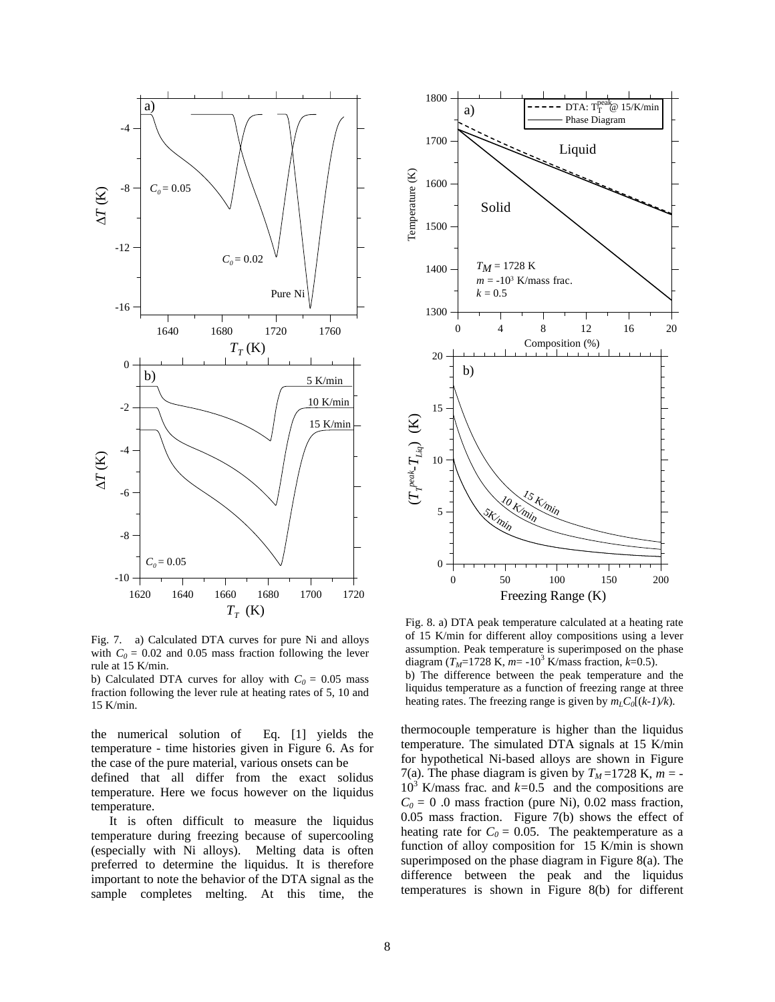

Fig. 7. a) Calculated DTA curves for pure Ni and alloys with  $C_0 = 0.02$  and 0.05 mass fraction following the lever rule at 15 K/min.

b) Calculated DTA curves for alloy with  $C_0 = 0.05$  mass fraction following the lever rule at heating rates of 5, 10 and 15 K/min.

the numerical solution of Eq. [1] yields the temperature - time histories given in Figure 6. As for the case of the pure material, various onsets can be

defined that all differ from the exact solidus temperature. Here we focus however on the liquidus temperature.

It is often difficult to measure the liquidus temperature during freezing because of supercooling (especially with Ni alloys). Melting data is often preferred to determine the liquidus. It is therefore important to note the behavior of the DTA signal as the sample completes melting. At this time, the



Fig. 8. a) DTA peak temperature calculated at a heating rate of 15 K/min for different alloy compositions using a lever assumption. Peak temperature is superimposed on the phase diagram  $(T_M=1728 \text{ K}, m=10^3 \text{ K/mass fraction}, k=0.5)$ . b) The difference between the peak temperature and the liquidus temperature as a function of freezing range at three heating rates. The freezing range is given by  $m_L C_0[(k-1)/k)$ .

thermocouple temperature is higher than the liquidus temperature. The simulated DTA signals at 15 K/min for hypothetical Ni-based alloys are shown in Figure 7(a). The phase diagram is given by  $T_M = 1728$  K,  $m = 10^3$  K/mass frac. and  $k=0.5$  and the compositions are  $C_0 = 0$  .0 mass fraction (pure Ni), 0.02 mass fraction, 0.05 mass fraction. Figure 7(b) shows the effect of heating rate for  $C_0 = 0.05$ . The peaktemperature as a function of alloy composition for 15 K/min is shown superimposed on the phase diagram in Figure 8(a). The difference between the peak and the liquidus temperatures is shown in Figure 8(b) for different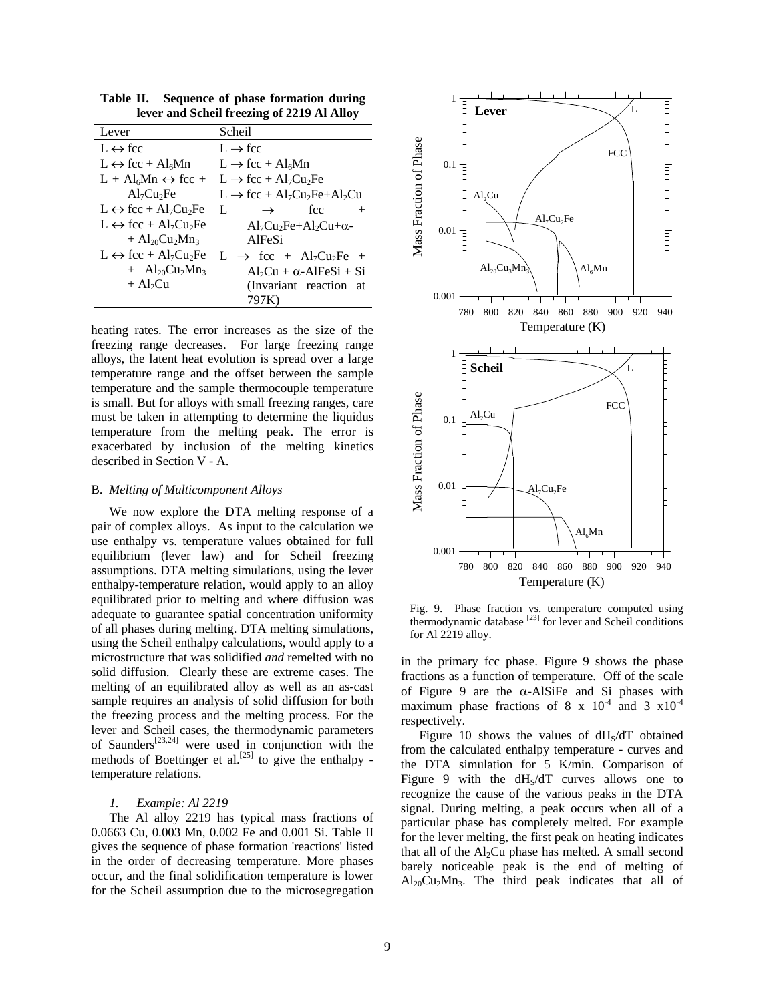| Lever                                                | Scheil                                                                      |
|------------------------------------------------------|-----------------------------------------------------------------------------|
| $L \leftrightarrow fcc$                              | $L \rightarrow fcc$                                                         |
| $L \leftrightarrow fcc + Al6Mn$                      | $L \rightarrow fcc + Al6Mn$                                                 |
| $L + Al6Mn \leftrightarrow fcc +$                    | $L \rightarrow fcc + Al7Cu2Fe$                                              |
| Al <sub>7</sub> Cu <sub>2</sub> Fe                   | $L \rightarrow$ fcc + Al <sub>7</sub> Cu <sub>2</sub> Fe+Al <sub>2</sub> Cu |
| $L \leftrightarrow fcc + Al7Cu2Fe$                   | L<br>fcc<br>$\rightarrow$                                                   |
| $L \leftrightarrow fcc + Al7Cu2Fe$                   | $Al_7Cu_2Fe+Al_2Cu+\alpha-$                                                 |
| $+$ Al <sub>20</sub> Cu <sub>2</sub> Mn <sub>3</sub> | AlFeSi                                                                      |
| $L \leftrightarrow fcc + Al7Cu2Fe$                   | $L \rightarrow$ fcc + Al <sub>7</sub> Cu <sub>2</sub> Fe +                  |
| $+$ Al <sub>20</sub> Cu <sub>2</sub> Mn <sub>3</sub> | $Al_2Cu + \alpha$ -AlFeSi + Si                                              |
| $+A1$ Cu                                             | (Invariant reaction at                                                      |
|                                                      | 797K)                                                                       |

**Table II. Sequence of phase formation during lever and Scheil freezing of 2219 Al Alloy**

heating rates. The error increases as the size of the freezing range decreases. For large freezing range alloys, the latent heat evolution is spread over a large temperature range and the offset between the sample temperature and the sample thermocouple temperature is small. But for alloys with small freezing ranges, care must be taken in attempting to determine the liquidus temperature from the melting peak. The error is exacerbated by inclusion of the melting kinetics described in Section V - A.

#### B. *Melting of Multicomponent Alloys*

We now explore the DTA melting response of a pair of complex alloys. As input to the calculation we use enthalpy vs. temperature values obtained for full equilibrium (lever law) and for Scheil freezing assumptions. DTA melting simulations, using the lever enthalpy-temperature relation, would apply to an alloy equilibrated prior to melting and where diffusion was adequate to guarantee spatial concentration uniformity of all phases during melting. DTA melting simulations, using the Scheil enthalpy calculations, would apply to a microstructure that was solidified *and* remelted with no solid diffusion. Clearly these are extreme cases. The melting of an equilibrated alloy as well as an as-cast sample requires an analysis of solid diffusion for both the freezing process and the melting process. For the lever and Scheil cases, the thermodynamic parameters of Saunders<sup>[23,24]</sup> were used in conjunction with the methods of Boettinger et al.<sup>[25]</sup> to give the enthalpy temperature relations.

#### *1. Example: Al 2219*

The Al alloy 2219 has typical mass fractions of 0.0663 Cu, 0.003 Mn, 0.002 Fe and 0.001 Si. Table II gives the sequence of phase formation 'reactions' listed in the order of decreasing temperature. More phases occur, and the final solidification temperature is lower for the Scheil assumption due to the microsegregation



Fig. 9. Phase fraction vs. temperature computed using thermodynamic database  $[23]$  for lever and Scheil conditions for Al 2219 alloy.

in the primary fcc phase. Figure 9 shows the phase fractions as a function of temperature. Off of the scale of Figure 9 are the  $\alpha$ -AlSiFe and Si phases with maximum phase fractions of 8 x  $10^{-4}$  and 3  $\times 10^{-4}$ respectively.

Figure 10 shows the values of  $dH<sub>s</sub>/dT$  obtained from the calculated enthalpy temperature - curves and the DTA simulation for 5 K/min. Comparison of Figure 9 with the  $dH<sub>S</sub>/dT$  curves allows one to recognize the cause of the various peaks in the DTA signal. During melting, a peak occurs when all of a particular phase has completely melted. For example for the lever melting, the first peak on heating indicates that all of the  $Al<sub>2</sub>Cu$  phase has melted. A small second barely noticeable peak is the end of melting of  $Al_{20}Cu<sub>2</sub>Mn<sub>3</sub>$ . The third peak indicates that all of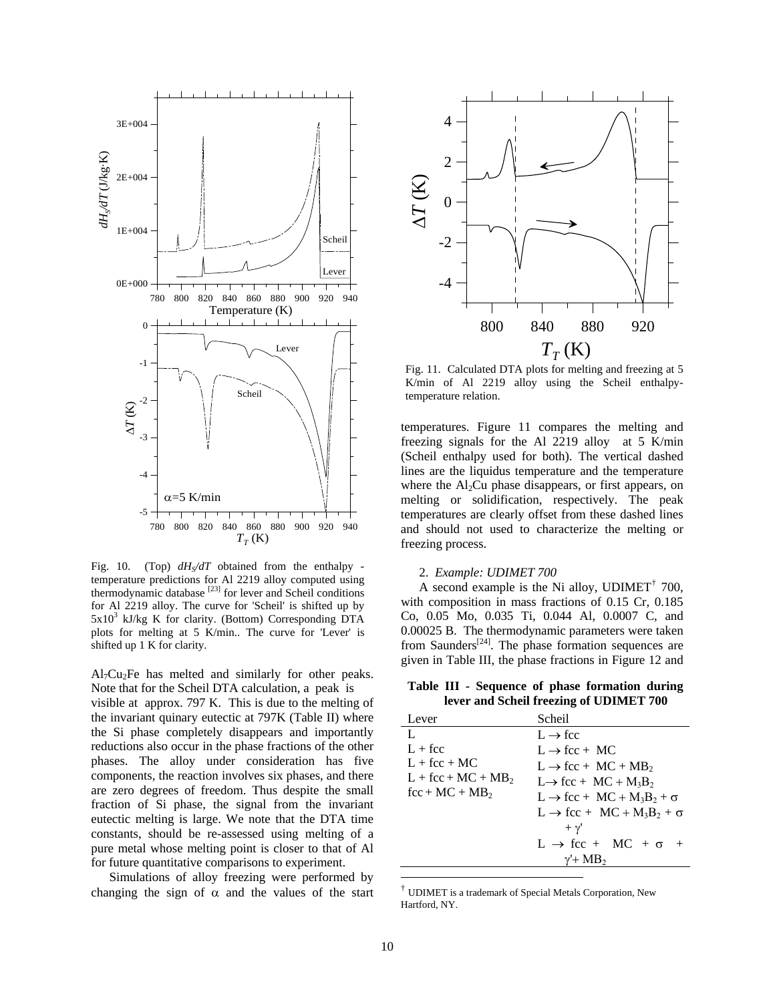

Fig. 10. (Top)  $dH<sub>S</sub>/dT$  obtained from the enthalpy temperature predictions for Al 2219 alloy computed using thermodynamic database  $^{[23]}$  for lever and Scheil conditions for Al 2219 alloy. The curve for 'Scheil' is shifted up by  $5x10^3$  kJ/kg K for clarity. (Bottom) Corresponding DTA plots for melting at 5 K/min.. The curve for 'Lever' is shifted up 1 K for clarity.

 $Al<sub>7</sub> Cu<sub>2</sub> Fe$  has melted and similarly for other peaks. Note that for the Scheil DTA calculation, a peak is

visible at approx. 797 K. This is due to the melting of the invariant quinary eutectic at 797K (Table II) where the Si phase completely disappears and importantly reductions also occur in the phase fractions of the other phases. The alloy under consideration has five components, the reaction involves six phases, and there are zero degrees of freedom. Thus despite the small fraction of Si phase, the signal from the invariant eutectic melting is large. We note that the DTA time constants, should be re-assessed using melting of a pure metal whose melting point is closer to that of Al for future quantitative comparisons to experiment.

Simulations of alloy freezing were performed by changing the sign of  $\alpha$  and the values of the start



Fig. 11. Calculated DTA plots for melting and freezing at 5 K/min of Al 2219 alloy using the Scheil enthalpytemperature relation.

temperatures. Figure 11 compares the melting and freezing signals for the Al 2219 alloy at 5 K/min (Scheil enthalpy used for both). The vertical dashed lines are the liquidus temperature and the temperature where the  $Al<sub>2</sub>Cu$  phase disappears, or first appears, on melting or solidification, respectively. The peak temperatures are clearly offset from these dashed lines and should not used to characterize the melting or freezing process.

#### 2. *Example: UDIMET 700*

A second example is the Ni alloy, UDIMET<sup> $\dagger$ </sup> 700, w ith composition in mass fractions of 0.15 Cr, 0.185 C o, 0.05 Mo, 0.035 Ti, 0.044 Al, 0.0007 C, and 0.00025 B. The thermodynamic parameters were taken from Saunders<sup>[24]</sup>. The phase formation sequences are given in Table III, the phase fractions in Figure 12 and

**Table III - Sequence of phase formation during lever and Scheil freezing of UDIMET 700**

| Lever               | Scheil                                                              |
|---------------------|---------------------------------------------------------------------|
| L                   | $L \rightarrow fcc$                                                 |
| $L + fcc$           | $L \rightarrow fcc + MC$                                            |
| $L + fcc + MC$      | $L \rightarrow$ fcc + MC + MB <sub>2</sub>                          |
| $L + fcc + MC + MB$ | $L \rightarrow$ fcc + MC + M <sub>3</sub> B <sub>2</sub>            |
| $fcc + MC + MB2$    | $L \rightarrow$ fcc + MC + M <sub>3</sub> B <sub>2</sub> + $\sigma$ |
|                     | $L \rightarrow fcc + MC + M_3B_2 + \sigma$                          |
|                     | $+ \gamma'$                                                         |
|                     | $L \rightarrow fcc + MC + \sigma +$                                 |
|                     | $v'$ + MB <sub>2</sub>                                              |
|                     |                                                                     |

<sup>†</sup> UDIMET is a trademark of Special Metals Corporation, New Hartford, NY.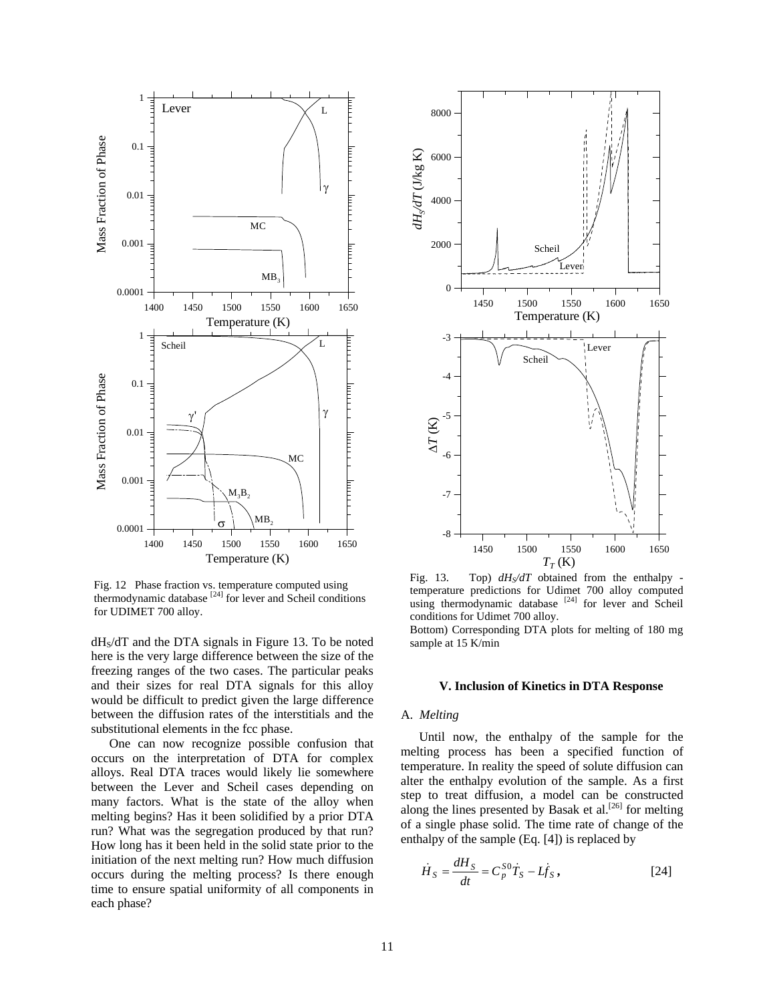

Fig. 12 Phase fraction vs. temperature computed using thermodynamic database  $^{[24]}$  for lever and Scheil conditions for UDIMET 700 alloy.

 $dH<sub>S</sub>/dT$  and the DTA signals in Figure 13. To be noted here is the very large difference between the size of the freezing ranges of the two cases. The particular peaks and their sizes for real DTA signals for this alloy would be difficult to predict given the large difference between the diffusion rates of the interstitials and the substitutional elements in the fcc phase.

run? What was the segregation produced by that run? Ho w long has it been held in the solid state prior to the One can now recognize possible confusion that occurs on the interpretation of DTA for complex alloys. Real DTA traces would likely lie somewhere between the Lever and Scheil cases depending on many factors. What is the state of the alloy when melting begins? Has it been solidified by a prior DTA initiation of the next melting run? How much diffusion occurs during the melting process? Is there enough time to ensure spatial uniformity of all components in each phase?



Fig. 13. Top)  $dH_S/dT$  obtained from the enthalpy temperature predictions for Udimet 700 alloy computed using thermodynamic database <sup>[24]</sup> for lever and Scheil conditions for Udimet 700 alloy.

Bottom) Corresponding DTA plots for melting of 180 mg sample at 15 K/min

#### **V. Inclusion of Kinetics in DTA Response**

## A. Melting

Until now, the enthalpy of the sample for the melting process has been a specified function of temperature. In reality the speed of solute diffusion can alter the enthalpy evolution of the sample. As a first step to treat diffusion, a model can be constructed along the lines presented by Basak et al.<sup>[26]</sup> for melting of a single phase solid. The time rate of change of the enthalpy of the sample (Eq . [4]) is replaced by

$$
\dot{H}_S = \frac{dH_S}{dt} = C_p^{SO} \dot{T}_S - L \dot{f}_S, \qquad [24]
$$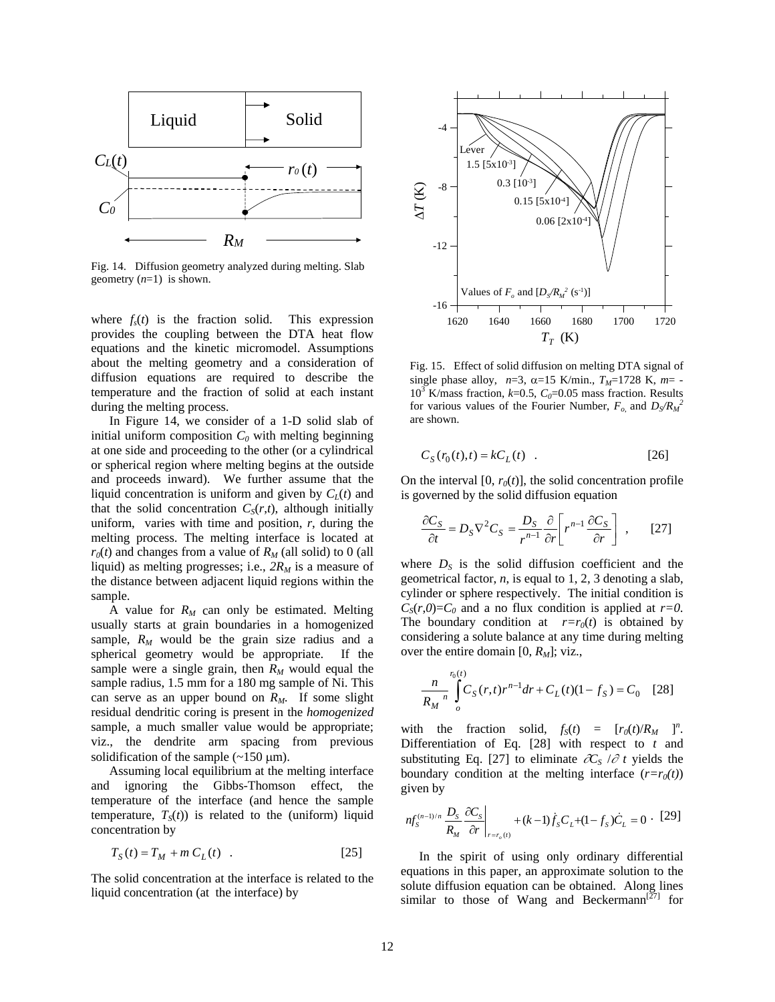

Fig. 14. Diffusion geometry analyzed during melting. Slab geometry (*n*=1) is shown.

where  $f_s(t)$  is the fraction solid. This expression provides the coupling between the DTA heat flow equations and the kinetic micromodel. Assumptions about the melting geometry and a consideration of diffusion equations are required to describe the temperature and the fraction of solid at each instant during the melting process.

In Figure 14, we consider of a 1-D solid slab of initial uniform composition  $C_0$  with melting beginning at one side and proceeding to the other (or a cylindrical or spherical region where melting begins at the outside and proceeds inward). We further assume that the liquid concentration is uniform and given by  $C_L(t)$  and that the solid concentration  $C_S(r,t)$ , although initially uniform, varies with time and position,  $r$ , during the melting process. The melting interface is located at  $r_0(t)$  and changes from a value of  $R_M$  (all solid) to 0 (all liquid) as melting progresses; i.e.,  $2R_M$  is a measure of the distance between adjacent liquid regions within the sample.

A value for  $R_M$  can only be estimated. Melting usually starts at grain boundaries in a homogenized can serve as an upper bound on  $R_M$ . If some slight res idual dendritic coring is present in the *homogenized* sample,  $R_M$  would be the grain size radius and a spherical geometry would be appropriate. If the sample were a single grain, then  $R_M$  would equal the sample radius, 1.5 mm for a 180 mg sample of Ni. This sample, a much smaller value would be appropriate; viz., the dendrite arm spacing from previous solidification of the sample  $(\sim 150 \text{ }\mu\text{m})$ .

Assuming local equilibrium at the melting interface and ignoring the Gibbs-Thomson effect, the temperature of the interface (and hence the sample temperature,  $T<sub>S</sub>(t)$ ) is related to the (uniform) liquid concentration by

$$
T_S(t) = T_M + m C_L(t) \quad . \tag{25}
$$

The solid concentration at the interface is related to the liquid concentration (at the interface) by



Fig. 15. Effect of solid diffusion on melting DTA signal of single phase alloy,  $n=3$ ,  $\alpha=15$  K/min.,  $T_M=1728$  K,  $m=$  - $10^3$  K/mass fraction,  $k=0.5$ ,  $C_0=0.05$  mass fraction. Results for various values of the Fourier Number,  $F_o$  and  $D_S/R_M^2$ are shown.

$$
C_S(r_0(t),t) = kC_L(t) \quad . \tag{26}
$$

On the interval  $[0, r_0(t)]$ , the solid concentration profile is governed by the solid diffusion equation

$$
\frac{\partial C_S}{\partial t} = D_S \nabla^2 C_S = \frac{D_S}{r^{n-1}} \frac{\partial}{\partial r} \left[ r^{n-1} \frac{\partial C_S}{\partial r} \right], \quad [27]
$$

where  $D_S$  is the solid diffusion coefficient and the g eometrical factor, *n*, is equal to 1, 2, 3 denoting a slab, c ylinder or sphere respectively. The initial condition is  $C_s(r,0)=C_0$  and a no flux condition is applied at *r*=0. The boundary condition at  $r=r_0(t)$  is obtained by c onsidering a solute balance at any time during melting over the entire domain [0,  $R_M$ ]; viz.,

$$
\frac{n}{R_M} \int\limits_{o}^{r_0(t)} C_S(r,t) r^{n-1} dr + C_L(t) (1 - f_S) = C_0 \quad [28]
$$

with the fraction solid,  $f_S(t) = [r_0(t)/R_M]^{n}$ . Differentiation of Eq. [28] with respect to *t* and substituting Eq. [27] to eliminate  $\partial C_s / \partial t$  yields the boundary condition at the melting interface  $(r=r_0(t))$ given by

$$
n f_S^{(n-1)/n} \frac{D_S}{R_M} \frac{\partial C_S}{\partial r} \bigg|_{r = r_o(t)} + (k-1) \dot{f}_S C_L + (1 - f_S) \dot{C}_L = 0 \cdot [29]
$$

In the spirit of using only ordinary differential equations in this paper, an approximate solution to the solute diffusion equation can be obtained. Along lines similar to those of Wang and Beckermann<sup>[27]</sup> for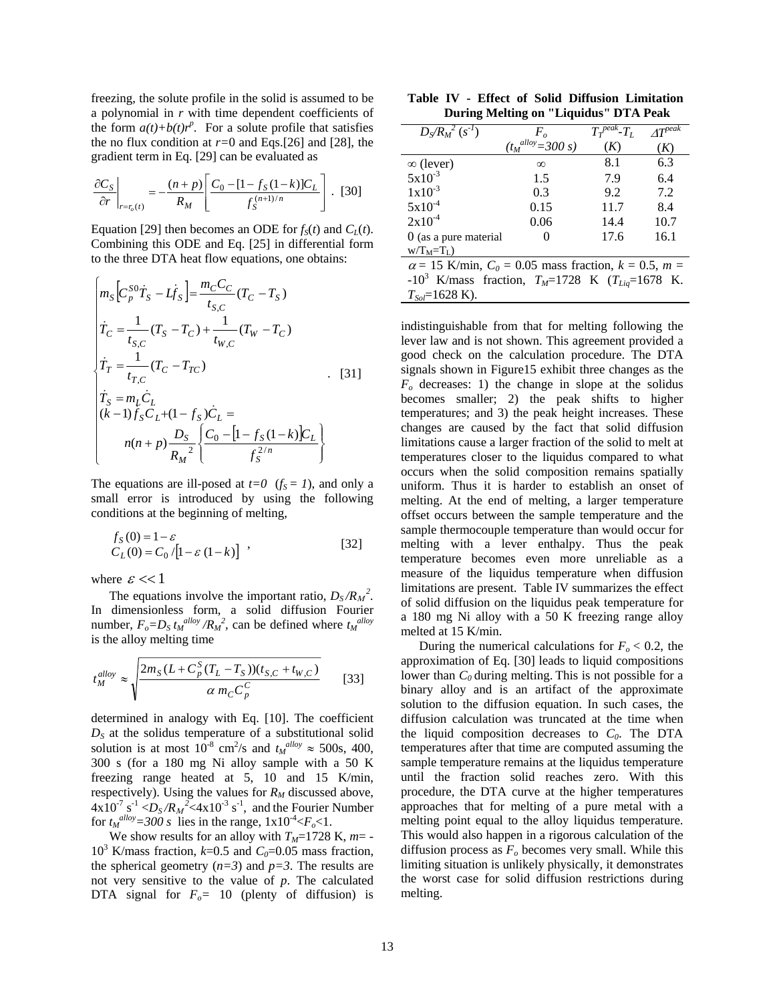freezing, the solute profile in the solid is assumed to be a polynomial in *r* with time dependent coefficients of the form  $a(t)+b(t)r^p$ . For a solute profile that satisfies the no flux condition at *r=*0 and Eqs.[26] and [28], the gradient term in Eq. [29] can be evaluated as

$$
\frac{\partial C_S}{\partial r}\bigg|_{r=r_o(t)} = -\frac{(n+p)}{R_M} \left[ \frac{C_0 - [1 - f_S(1-k)]C_L}{f_S^{(n+1)/n}} \right].
$$
 [30]

Equation [29] then becomes an ODE for  $f_S(t)$  and  $C_L(t)$ . Combining this ODE and Eq. [25] in differential form to the three DTA heat flow equations, one obtains:

$$
\begin{cases}\nm_S \Big[ C_p^{SO} \dot{T}_S - L \dot{f}_S \Big] = \frac{m_C C_C}{t_{S,C}} (T_C - T_S) \\
\dot{T}_C = \frac{1}{t_{S,C}} (T_S - T_C) + \frac{1}{t_{W,C}} (T_W - T_C) \\
\dot{T}_T = \frac{1}{t_{T,C}} (T_C - T_{TC}) \\
\dot{T}_S = m_L \dot{C}_L \\
(k-1) f_S C_L + (1 - f_S) \dot{C}_L = \\
n(n+p) \frac{D_S}{R_M^2} \Big\{ \frac{C_0 - [1 - f_S(1-k)] C_L}{f_S^{2/n}} \Big\}\n\end{cases} \tag{31}
$$

The equations are ill-posed at  $t=0$  ( $f_S = 1$ ), and only a small error is introduced by using the following conditions at the beginning of melting,

$$
f_S(0) = 1 - \varepsilon
$$
  
\n
$$
C_L(0) = C_0 / [1 - \varepsilon (1 - k)]
$$
 (32)

where  $\varepsilon \ll 1$ 

The equations involve the important ratio,  $D_s/R_M^2$ . The equations involve the important ratio,  $D_S / N_M$ .<br>In dimensionless form, a solid diffusion Fourier number,  $F_o = D_S t_M^{alloy} / R_M^2$ , can be defined where  $t_M^{alloy}$ is the alloy melting time

$$
t_M^{alloy} \approx \sqrt{\frac{2m_S(L + C_p^S(T_L - T_S))(t_{S,C} + t_{W,C})}{\alpha m_C C_p^C}}
$$
 [33]

determined in analogy with Eq. [10]. The coefficient  $D<sub>S</sub>$  at the solidus temperature of a substitutional solid solution is at most  $10^{-8}$  cm<sup>2</sup>/s and  $t_M$ <sup>alloy</sup>  $\approx$  500s, 400, 300 s (for a 180 mg Ni alloy sample with a 50 K freezing range heated at 5, 10 and 15 K/min, respectively). Using the values for  $R_M$  discussed above,  $4x10^{-7}$  s<sup>-1</sup>  $\langle D_s/R_M^2 \rangle$   $\langle 4x10^{-3}$  s<sup>-1</sup>, and the Fourier Number for  $t_M^{allow} = 300$  s lies in the range,  $1 \times 10^{-4} < F_o < 1$ .

We show results for an alloy with  $T_M$ =1728 K,  $m$ =  $10^3$  K/mass fraction,  $k=0.5$  and  $C_0=0.05$  mass fraction, the spherical geometry  $(n=3)$  and  $p=3$ . The results are DTA signal for  $F<sub>o</sub>= 10$  (plenty of diffusion) is not very sensitive to the value of *p*. The calculated

|  |  |  |                                       | Table IV - Effect of Solid Diffusion Limitation |
|--|--|--|---------------------------------------|-------------------------------------------------|
|  |  |  | During Melting on "Liquidus" DTA Peak |                                                 |

| $D_S/R_M^2(s^{-1})$                                                  | $F_{\alpha}$             | $\overline{T_r^{peak}}$ - $T_L$ | $4T^{peak}$ |
|----------------------------------------------------------------------|--------------------------|---------------------------------|-------------|
|                                                                      | $(t_M^{allow}) = 300 s)$ | (K)                             | (K)         |
| $\infty$ (lever)                                                     | $\infty$                 | 8.1                             | 6.3         |
| $5x10^{-3}$                                                          | 1.5                      | 7.9                             | 6.4         |
| $1x10^{-3}$                                                          | 0.3                      | 9.2                             | 7.2         |
| $5x10^{-4}$                                                          | 0.15                     | 11.7                            | 8.4         |
| $2x10^{-4}$                                                          | 0.06                     | 14.4                            | 10.7        |
| $0$ (as a pure material                                              |                          | 17.6                            | 16.1        |
| $W/T_M=T_I$ )                                                        |                          |                                 |             |
| $\alpha$ = 15 K/min, $C_0$ = 0.05 mass fraction, $k$ = 0.5, m =      |                          |                                 |             |
| -10 <sup>3</sup> K/mass fraction, $T_M$ =1728 K ( $T_{Liq}$ =1678 K. |                          |                                 |             |
| $T_{\text{So}}$ =1628 K).                                            |                          |                                 |             |

indistinguishable from that for melting following the lever law and is not shown. This agreement provided a good check on the calculation procedure. The DTA s ignals shown in Figure15 exhibit three changes as the  $F<sub>o</sub>$  decreases: 1) the change in slope at the solidus b ecomes smaller; 2) the peak shifts to higher te mperatures; and 3) the peak height increases. These changes are caused by the fact that solid diffusion limitations cause a larger fraction of the solid to melt at temperatures closer to the liquidus compared to what occurs when the solid composition remains spatially offset occurs between the sample temperature and the sample thermocouple temperature than would occur for melting with a lever enthalpy. Thu s the peak temperature becomes even more unreliable as a uniform. Thus it is harder to establish an onset of melting. At the end of melting, a larger temperature measure of the liquidus temperature when diffusion limitations are present. Table IV summarizes the effect of solid diffusion on the liquidus peak temperature for a 180 mg Ni alloy with a 50 K freezing range alloy melted at 15 K/min.

lower than  $C_0$  during melting. This is not possible for a binary alloy and is an artifact of the approximate solution to the diffusion equation. In such cases, the diffusion calculation was truncated at the time when approaches that for melting of a pure metal with a melting point equal to the alloy liquidus temperature. This would also happen in a rigorous calculation of the diffusion process as  $F<sub>o</sub>$  becomes very small. While this lim iting situation is unlikely physically, it demonstrates During the numerical calculations for  $F<sub>o</sub> < 0.2$ , the approximation of Eq. [30] leads to liquid compositions the liquid composition decreases to  $C_0$ . The DTA temperatures after that time are computed assuming the sample temperature remains at the liquidus temperature until the fraction solid reaches zero. With this procedure, the DTA curve at the higher temperatures the worst case for solid diffusion restrictions during melting.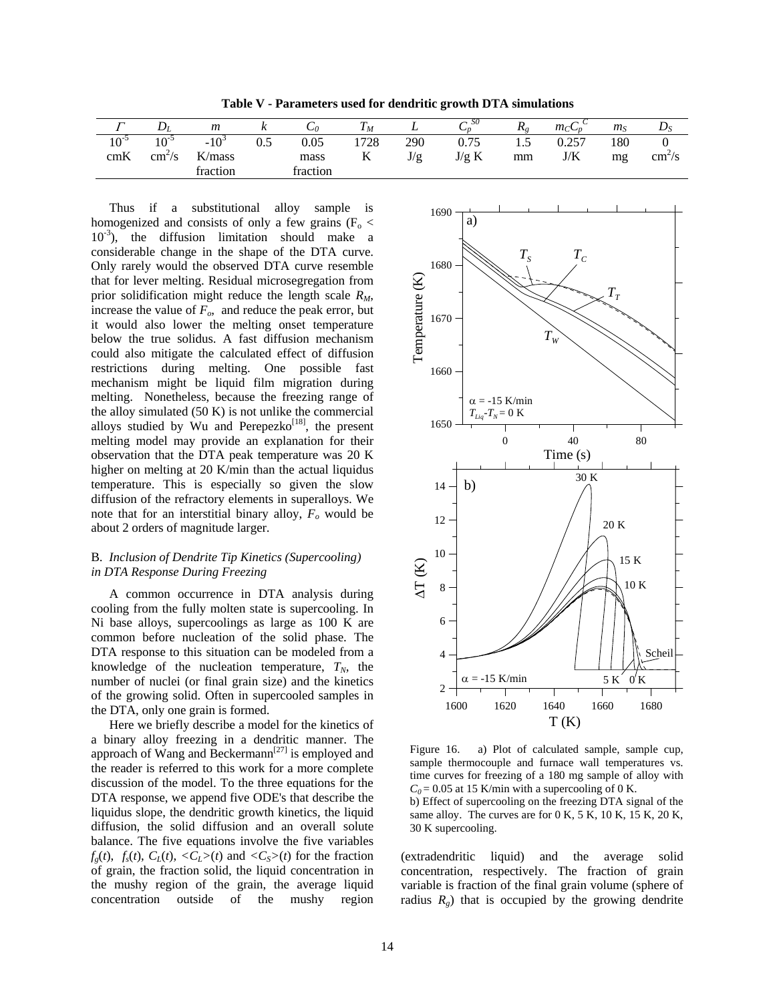Table V - Parameters used for dendritic growth DTA simulations

| $\overline{ }$ | $\boldsymbol{\nu}$ | m        | $\sim$   | ◡៸       | $\mathbf{r}$<br>M | ∸          | S0<br>◡╖ | $R_{\circ}$ | m <sub>c</sub> | m <sub>S</sub> | $\boldsymbol{\nu}$ |
|----------------|--------------------|----------|----------|----------|-------------------|------------|----------|-------------|----------------|----------------|--------------------|
| $10^{-5}$      | $10-2$             | -10      | $_{0.5}$ | 0.05     | 728               | 290        | 0.75     | ر 1         | 0.257          | 180            |                    |
| cmK            | cm <sup>2</sup> /s | K/mass   |          | mass     | 17                | $I/\sigma$ | J/g K    | mm          | J/K            | mg             | $cm5$ /s           |
|                |                    | traction |          | fraction |                   |            |          |             |                |                |                    |

Thus if a substitutional alloy homogenized and consists of only a few grains ( $F_0$  < that for lever melting. Residual microsegregation from prior solidification might reduce the length scale *RM*, increase the value of  $F<sub>o</sub>$ , and reduce the peak error, but it would also lower the melting onset temperature below the true solidus. A fast diffusion mechanism could also mitigate the calculated effect of diffusion restrictions during melting. One possible fast mechanism might be liquid film migration during melting. Nonetheless, because the freezing range of the alloy simulated  $(50 K)$  is not unlike the commercial alloys studied by Wu and Perepezko<sup>[18]</sup>, the present melting model may provide an explanation for their observation that the DTA peak temperature was 20 K higher on melting at 20 K/min than the actual liquidus temperature. This is especially so given the slow sample is  $10^{-3}$ ), the diffusion limitation should make a considerable change in the shape of the DTA curve. Only rarely would the observed DTA curve resemble diffusion of the refractory elements in superalloys. We note that for an interstitial binary alloy,  $F<sub>o</sub>$  would be about 2 orders of magnitude larger.

## B. *Inclusion of Dendrite Tip Kinetics (Supercooling) in DTA Response During Freezing*

A common occurrence in DTA analysis during coo ling from the fully molten state is supercooling. In DTA response to this situation can be modeled from a knowledge of the nucleation temperature,  $T_N$ , the number of nuclei (or final grain size) and the kinetics of the growing solid. Often in supercooled samples in the DTA, only one grain is formed. Ni base alloys, supercoolings as large as 100 K are common before nucleation of the solid phase. The

Here we briefly describe a model for the kinetics of a binary alloy freezing in a dendritic manner. The approach of Wang and Beckermann<sup>[27]</sup> is employed and the reader is referred to this work for a more complete discussion of the model. To the three equations for the DTA response, we append five ODE's that describe the liquidus slope, the dendritic growth kinetics, the liquid diffusion, the solid diffusion and an overall solute balance. The five equations involve the five variables  $f_g(t)$ ,  $f_s(t)$ ,  $C_L(t)$ ,  $\langle C_L \rangle(t)$  and  $\langle C_S \rangle(t)$  for the fraction of grain, the fraction solid, the liquid concentration in the mushy region of the grain, the average liquid concentration outside of the mushy region



Figure 16. a) Plot of calculated sample, sample cup, sample thermocouple and furnace wall temperatures vs. time curves for freezing of a 180 mg sample of alloy with  $C_0$  = 0.05 at 15 K/min with a supercooling of 0 K.

b) Effect of supercooling on the freezing DTA signal of the same alloy. The curves are for 0 K, 5 K, 10 K, 15 K, 20 K, 30 K supercooling.

radius  $R_g$ ) that is occupied by the growing dendrite (extradendritic liquid) and the average solid concentration, respectively. The fraction of grain variable is fraction of the final grain volume (sphere of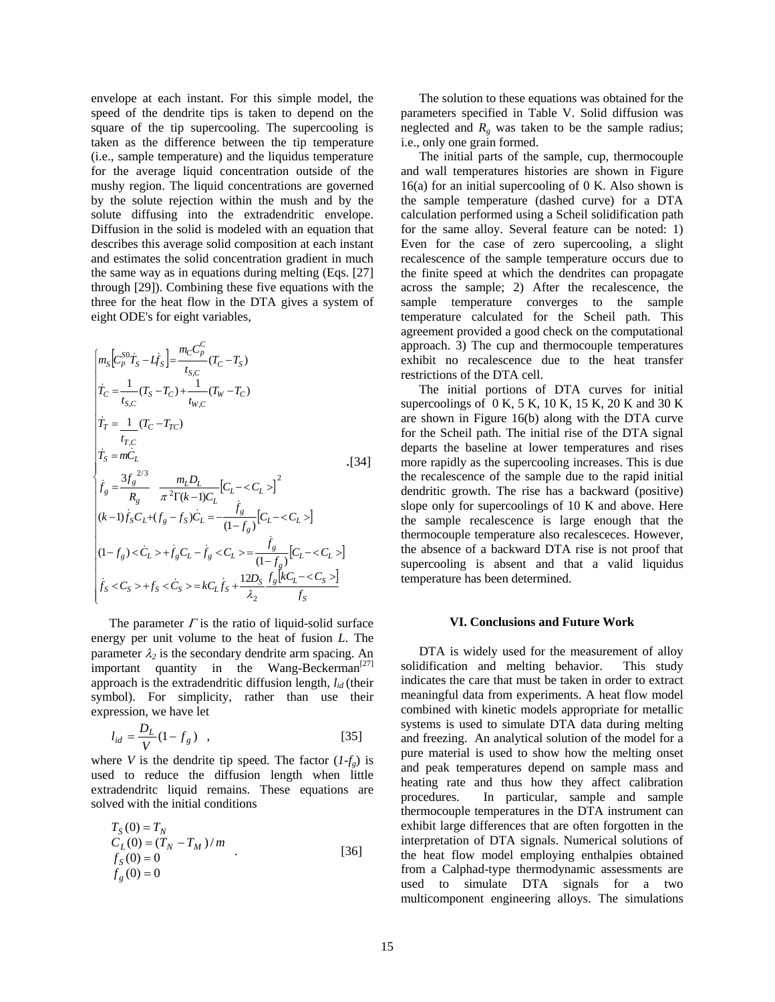envelope at each instant . For this simple model, the speed of the dendrite tips is taken to depend on the square of the tip supercooling. The supercooling is taken as the difference between the tip temperature (i.e., sample temperature) and the liquidus temperature for the average liquid concentration outside of the mushy region. The liquid concentrations are governed by the solute rejection within the mush and by the solute diffusing into the extradendritic envelope. Diffusion in the solid is modeled with an equation that describes this average solid composition at each instant and estimates the solid concentration gradient in much the same way as in equations during melting (Eqs. [27] through [29]). Combining these five equations with the three for the heat flow in the DTA gives a system of eight ODE's for eight variables,

$$
\begin{cases}\nm_S\left[C_p^{SO}T_S - Lf_S\right] = \frac{m_C C_p^C}{t_{S,C}}(T_C - T_S) \\
T_C = \frac{1}{t_{S,C}}(T_S - T_C) + \frac{1}{t_{W,C}}(T_W - T_C) \\
T_T = \frac{1}{t_{T,C}}(T_C - T_{TC}) \\
T_S = m\dot{C}_L \\
f_g = \frac{3f_g^{2/3}}{R_g} \frac{m_L D_L}{\pi^2 \Gamma(k-1)C_L} \left[C_L - \langle C_L \rangle\right]^2 \\
(k-1)f_S C_L + (f_g - f_S)\dot{C}_L = -\frac{\dot{f}_g}{(1 - f_g)} \left[C_L - \langle C_L \rangle\right] \\
(1 - f_g) < C_L > + \dot{f}_g C_L - \dot{f}_g < C_L > = \frac{\dot{f}_g}{(1 - f_g)} \left[C_L - \langle C_L \rangle\right] \\
\dot{f}_S < C_S > + f_S < \dot{C}_S > = kC_L \dot{f}_S + \frac{12D_S}{\lambda_2} \frac{f_g \left[kC_L - \langle C_S \rangle\right]}{f_S}\n\end{cases}
$$

The parameter  $\Gamma$  is the ratio of liquid-solid surface energy per unit volume to the heat of fusion *L*. The parameter  $\lambda_2$  is the secondary dendrite arm spacing. An important quantity in the Wang-Beckerman<sup>[27]</sup> approach is the extradendritic diffusion length,  $l_{id}$  (their symbol). For simplicity, rather than use their expression, we have let

$$
l_{id} = \frac{D_L}{V} (1 - f_g) \quad , \tag{35}
$$

where *V* is the dendrite tip speed. The factor  $(I-f<sub>g</sub>)$  is used to reduce the diffusion length when little extradendritc liquid remains. These equations are solved with the initial conditions

$$
T_S(0) = T_N \nC_L(0) = (T_N - T_M)/m \n f_S(0) = 0 \n f_S(0) = 0
$$
\n[36]

The solution to these equations was obtained for the parameters specified in Table V. Solid diffusion was neglected and  $R<sub>g</sub>$  was taken to be the sample radius; i.e., only one grain formed.

The initial parts of the sample, cup, thermocouple and wall temperatures histories are shown in Figure  $16(a)$  for an initial supercooling of 0 K. Also shown is the sample temperature (dashed curve) for a DTA calculation performed using a Scheil solidification path for the same alloy. Several feature can be noted: 1) Even for the case of zero supercooling, a slight recalescence of the sample temperature occurs due to the finite speed at which the dendrites can propagate across the sample; 2) After the recalescence, the sample temperature converges to the sample temperature calculated for the Scheil path. This agreement provided a good check on the computational approach. 3) The cup and thermocouple temperatures exhibit no recalescence due to the heat transfer restrictions of the DTA cell.

The initial portions of DTA curves for initial supercoolings of 0 K, 5 K, 10 K, 15 K, 20 K and 30 K are shown in Figure 16(b) along with the DTA curve for the Scheil path. The initial rise of the DTA signal departs the baseline at lower temperatures and rises more rapidly as the supercooling increases. This is due the recalescence of the sample due to the rapid initial dendritic growth. The rise has a backward (positive) slope only for supercoolings of 10 K and above. Here the sample recalescence is large enough that the thermocouple temperature also recalesceces. However, the absence of a backward DTA rise is not proof that supercooling is absent and that a valid liquidus temperature has been determined.

## **VI. Conclusions and Future Work**

DTA is widely used for the measurement of alloy solidification and melting behavior. This study indicates the care that must be taken in order to extract meaningful data from experiments. A heat flow model combined with kinetic models appropriate for metallic systems is used to simulate DTA data during melting and freezing. An analytical solution of the model for a p ure material is used to show how the melting onset a nd peak temperatures depend on sample mass and h eating rate and thus how they affect calibration procedures. th ermocouple temperatures in the DTA instrument can e xhibit large differences that are often forgotten in the interpretation of DTA signals. Numerical solutions of  $g(v) = 0$  and  $u$  or  $v = 0$  and  $v = 0$  and  $v = 0$  and  $v = 0$  and  $v = 0$  and  $v = 0$  and  $v = 0$  and  $v = 0$  and  $v = 0$  and  $v = 0$  and  $v = 0$  and  $v = 0$  and  $v = 0$  and  $v = 0$  and  $v = 0$  and  $v = 0$  and  $v = 0$  and  $v = 0$  and  $v =$ the heat flow model employing enthalpies obtained from a Calphad-type thermodynamic assessments are multicomponent engineering alloys. The simulations In particular, sample and sample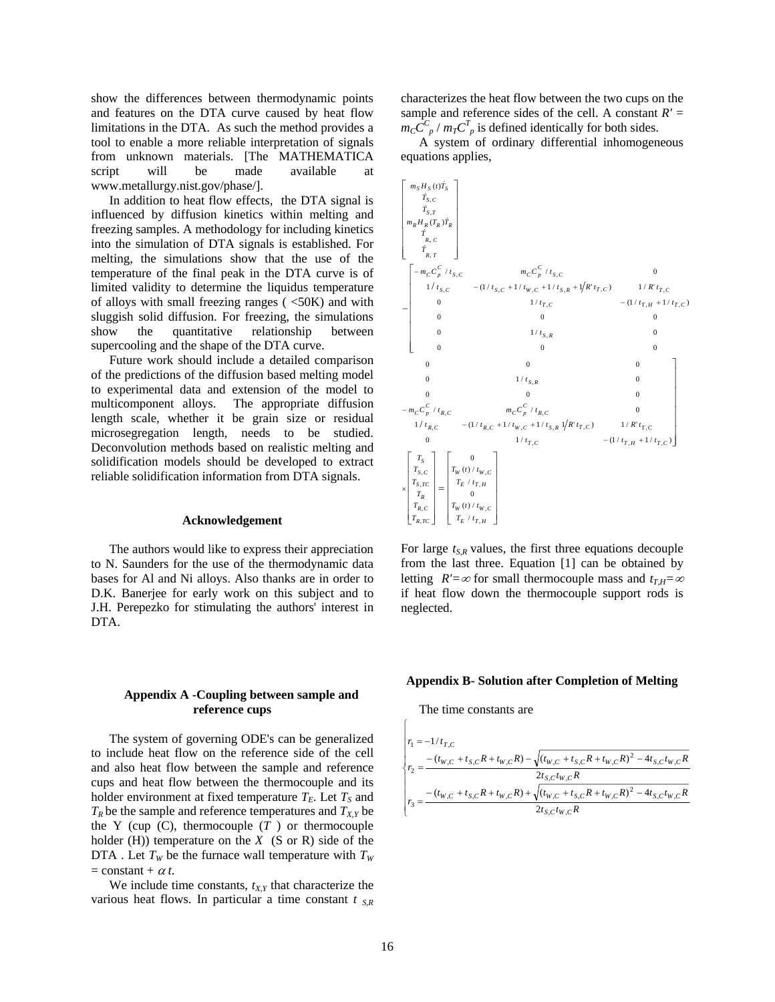show the differences between thermodynamic points and features on the DTA curve caused by heat flow limitations in the DTA. As such the method provides a tool to enable a more reliable interpretation of signals from unknown materials. [The MATHEMATICA script will be made available at www.metallurgy.nist.gov/phase/].

In addition to heat flow effects, the DTA signal is influenced by diffusion kinetics within melting and freezing samples. A methodology for including kinetics into the simulation of DTA signals is established. For melting, the simulations show that the use of the temperature of the final peak in the DTA curve is of limited validity to determine the liquidus temperature of alloys with small freezing ranges  $\left( \langle 50K \rangle \right)$  and with sluggish solid diffusion. For freezing, the simulations show the quantitative relationship between supercooling and the shape of the DTA curve.

Future work should include a detailed comparison of the predictions of the diffusion based melting model to experimental data and extension of the model to multicomponent alloys. The appropriate diffusion length scale, whether it be grain size or residual microsegregation length, needs to be studied. Deconvolution methods based on realistic melting and solidification models should be developed to extract reliable solidification information from DTA signals.

#### **Acknowledgement**

The authors would like to express their appreciation to N. Saunders for the use of the thermodynamic data bases for Al and Ni alloys. Also thanks are in order to D.K. Banerjee for early work on this subject and to J.H. Perepezko for stimulating the authors' interest in DTA.

## **Appendix A -Coupling between sample and reference cups**

The system of governing ODE's can be generalized to include heat flow on the reference side of the cell and also heat flow between the sample and reference holder  $(H)$ ) temperature on the  $X$  (S or R) side of the DTA . Let  $T_W$  be the furnace wall temperature with  $T_W$  $=$  constant +  $\alpha t$ . cups and heat flow between the thermocouple and its holder environment at fixed temperature  $T_E$ . Let  $T_S$  and  $T_R$  be the sample and reference temperatures and  $T_{X,Y}$  be the Y (cup  $(C)$ , thermocouple  $(T)$ ) or thermocouple

We include time constants,  $t_{X,Y}$  that characterize the various heat flows. In particular a time constant  $t_{SR}$  characterizes the heat flow between the two cups on the sample and reference sides of the cell. A constant  $R' =$  $m_{C} \tilde{C}_{p}^{C}$  /  $m_{T} C_{p}^{T}$  is defined identically for both sides.

A system of ordinary differential inhomogeneous equations applies,



For large  $t_{S,R}$  values, the first three equations decouple from the last three. Equation [1] can be obtained by letting *R'*=∞ for small thermocouple mass and  $t_{TH} = \infty$ if heat flow down the thermocouple support rods is neglected.

#### **Appendix B- Solution after Completion of Melting**

The time constants are

$$
\begin{cases}\nr_1 = -1/t_{T,C} \\
r_2 = \frac{-(t_{W,C} + t_{S,C}R + t_{W,C}R) - \sqrt{(t_{W,C} + t_{S,C}R + t_{W,C}R)^2 - 4t_{S,C}t_{W,C}R}}{2t_{S,C}t_{W,C}R} \\
r_3 = \frac{-(t_{W,C} + t_{S,C}R + t_{W,C}R) + \sqrt{(t_{W,C} + t_{S,C}R + t_{W,C}R)^2 - 4t_{S,C}t_{W,C}R}}{2t_{S,C}t_{W,C}R}\n\end{cases}
$$

 $\sqrt{2}$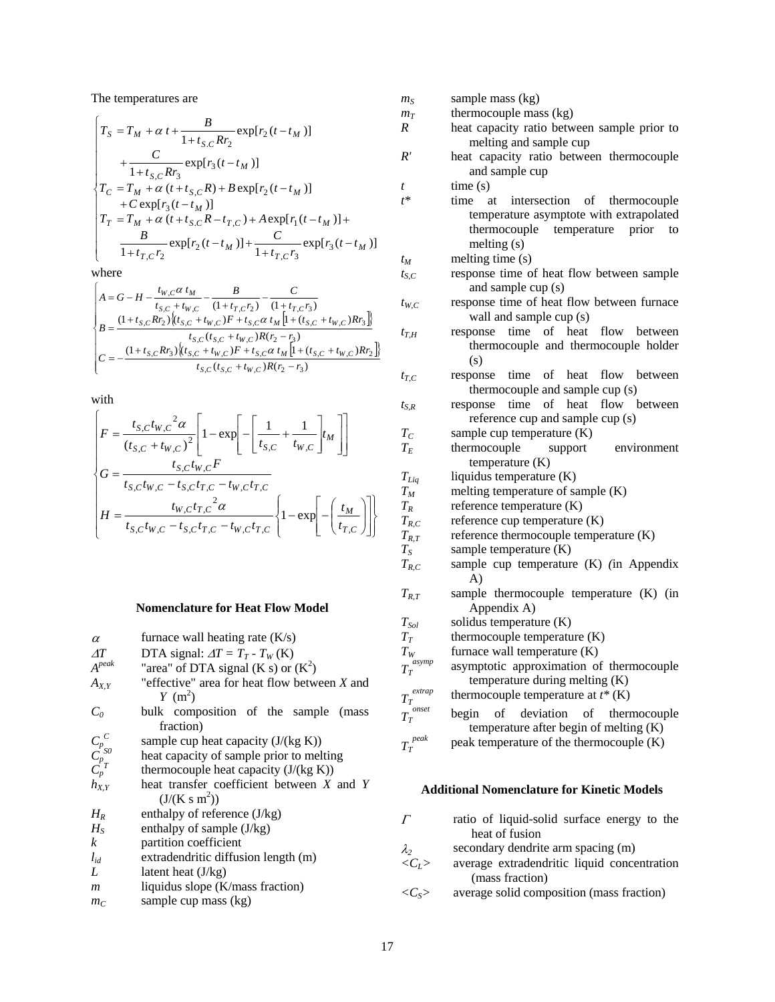The temperatures are

$$
\begin{cases}\nT_S = T_M + \alpha t + \frac{B}{1 + t_{S,C} R r_2} \exp[r_2(t - t_M)] \\
+ \frac{C}{1 + t_{S,C} R r_2} \exp[r_2(t - t_M)]\n\end{cases}
$$

$$
\begin{cases}\n+\frac{C}{1+t_{S,C}Rr_3} \exp[r_3(t-t_M)] \\
T_C = T_M + \alpha (t+t_{S,C}R) + B \exp[r_2(t-t_M)] \\
+ C \exp[r_3(t-t_M)] \\
T_T = T_M + \alpha (t+t_{S,C}R-t_{T,C}) + A \exp[r_1(t-t_M)] + \frac{B}{1+t_{T,C}r_3} \exp[r_2(t-t_M)] + \frac{C}{1+t_{T,C}r_3}\n\end{cases}
$$

where

$$
\begin{cases}\nA = G - H - \frac{t_{W,C} \alpha t_M}{t_{S,C} + t_{W,C}} - \frac{B}{(1 + t_{T,C} r_3)} - \frac{C}{(1 + t_{T,C} r_3)} \\
B = \frac{(1 + t_{S,C} R r_2) \left\{ (t_{S,C} + t_{W,C}) F + t_{S,C} \alpha t_M \left[ 1 + (t_{S,C} + t_{W,C}) R r_3 \right] \right\}}{t_{S,C} (t_{S,C} + t_{W,C}) R (r_2 - r_3)} \\
C = -\frac{(1 + t_{S,C} R r_3) \left\{ (t_{S,C} + t_{W,C}) F + t_{S,C} \alpha t_M \left[ 1 + (t_{S,C} + t_{W,C}) R r_2 \right] \right\}}{t_{S,C} (t_{S,C} + t_{W,C}) R (r_2 - r_3)}\n\end{cases}
$$

with

$$
\begin{cases}\nF = \frac{t_{S,C}t_{W,C}^{2}\alpha}{(t_{S,C} + t_{W,C})^{2}} \left[ 1 - \exp\left[-\left[\frac{1}{t_{S,C}} + \frac{1}{t_{W,C}}\right]t_{M}\right]\right] \\
G = \frac{t_{S,C}t_{W,C}F}{t_{S,C}t_{W,C} - t_{S,C}t_{T,C} - t_{W,C}t_{T,C}} \\
H = \frac{t_{W,C}t_{T,C}^{2}\alpha}{t_{S,C}t_{W,C} - t_{S,C}t_{T,C} - t_{W,C}t_{T,C}} \left\{ 1 - \exp\left[-\left(\frac{t_{M}}{t_{T,C}}\right)\right] \right\}\n\end{cases}
$$

# **Nomenclature for Heat Flow Model**

| $\alpha$                                                         | furnace wall heating rate (K/s)                             |
|------------------------------------------------------------------|-------------------------------------------------------------|
| $\Delta T$                                                       | DTA signal: $\Delta T = T_T - T_W$ (K)                      |
| $A^{peak}$                                                       | "area" of DTA signal (K s) or $(K^2)$                       |
| $A_{X,Y}$                                                        | "effective" area for heat flow between $X$ and<br>$Y~(m^2)$ |
| $C_0$                                                            | bulk composition of the sample<br>(mass)<br>fraction)       |
|                                                                  | sample cup heat capacity $(J/(kg K))$                       |
|                                                                  | heat capacity of sample prior to melting                    |
| $\begin{matrix} C_p^{\ C} \ C_p^{\ S0} \ C_p^{\ T} \end{matrix}$ | thermocouple heat capacity $(J/(kg K))$                     |
| $h_{X,Y}$                                                        | heat transfer coefficient between X and Y                   |
|                                                                  | $(J/(K s m^2))$                                             |
| $H_R$                                                            | enthalpy of reference $(J/kg)$                              |
| $H_{S}$                                                          | enthalpy of sample (J/kg)                                   |
| k                                                                | partition coefficient                                       |
| $l_{id}$                                                         | extradendritic diffusion length (m)                         |
| L                                                                | latent heat $(J/kg)$                                        |
| m                                                                | liquidus slope (K/mass fraction)                            |
| $m_C$                                                            | sample cup mass (kg)                                        |

| $m_S$               | sample mass (kg)                                                                                    |
|---------------------|-----------------------------------------------------------------------------------------------------|
| $m_T$               | thermocouple mass (kg)                                                                              |
| R                   | heat capacity ratio between sample prior to                                                         |
|                     | melting and sample cup                                                                              |
| R'                  | heat capacity ratio between thermocouple                                                            |
|                     | and sample cup                                                                                      |
| t                   | time(s)                                                                                             |
| $t^*$               | intersection of<br>time<br>at<br>thermocouple                                                       |
|                     | temperature asymptote with extrapolated<br>temperature prior<br>thermocouple<br>to<br>melting $(s)$ |
| $t_M$               | melting time (s)                                                                                    |
| $t_{S.C}$           | response time of heat flow between sample                                                           |
|                     | and sample cup (s)                                                                                  |
| $t_{W,C}$           | response time of heat flow between furnace                                                          |
|                     | wall and sample cup (s)                                                                             |
| $t_{T,H}$           | response time of heat flow between<br>thermocouple and thermocouple holder                          |
|                     | (s)                                                                                                 |
| $t_{T,C}$           | time of heat flow between<br>response                                                               |
|                     | thermocouple and sample cup (s)                                                                     |
| $t_{S,R}$           | time of heat flow between<br>response                                                               |
|                     | reference cup and sample cup (s)                                                                    |
| $T_C$               | sample cup temperature (K)                                                                          |
| $T_E$               | thermocouple<br>support<br>environment<br>temperature $(K)$                                         |
| $T_{Liq}$           | liquidus temperature (K)                                                                            |
| $T_M\,$             | melting temperature of sample (K)                                                                   |
| $T_R$               | reference temperature (K)                                                                           |
| $T_{R,C}$           | reference cup temperature (K)                                                                       |
| $T_{R,T}$           | reference thermocouple temperature (K)                                                              |
| $T_S$               | sample temperature (K)                                                                              |
| $T_{R,C}$           | sample cup temperature (K) (in Appendix<br>A)                                                       |
| $T_{R,T}$           | sample thermocouple temperature (K) (in<br>Appendix A)                                              |
| $T_{\mathrm Sol}$   | solidus temperature (K)                                                                             |
| $T_{\scriptsize T}$ | thermocouple temperature (K)                                                                        |
| $\mathcal{T}_{W}$   | furnace wall temperature (K)                                                                        |
| asymp<br>$T_{T}$    | asymptotic approximation of thermocouple<br>temperature during melting (K)                          |
| extrap<br>$T_T$     | thermocouple temperature at $t^*$ (K)                                                               |
| onset<br>$T_T$      | of deviation<br>begin<br>of thermocouple                                                            |
|                     | temperature after begin of melting (K)                                                              |
| $T_T^{\ peak}$      | peak temperature of the thermocouple (K)                                                            |
|                     |                                                                                                     |

## **Additional Nomenclature for Kinetic Models**

| $\overline{I}$        | ratio of liquid-solid surface energy to the<br>heat of fusion |
|-----------------------|---------------------------------------------------------------|
|                       |                                                               |
| $\lambda_{2}$         | secondary dendrite arm spacing (m)                            |
| $\langle C_L \rangle$ | average extradendritic liquid concentration                   |
|                       | (mass fraction)                                               |
| $\langle C_S \rangle$ | average solid composition (mass fraction)                     |
|                       |                                                               |